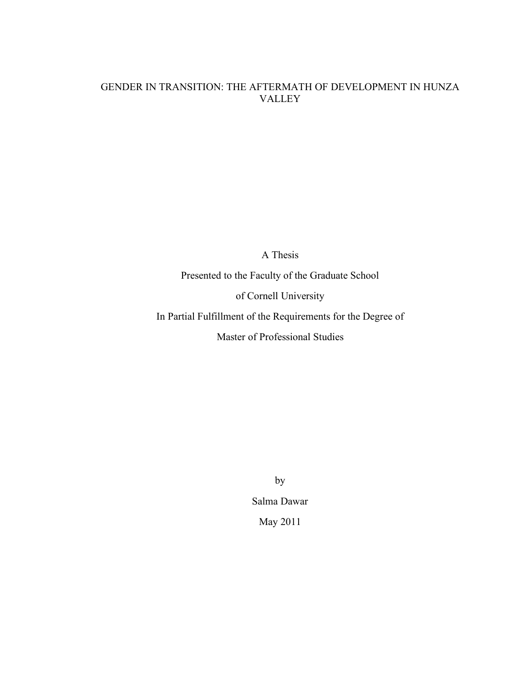### GENDER IN TRANSITION: THE AFTERMATH OF DEVELOPMENT IN HUNZA VALLEY

A Thesis

 Presented to the Faculty of the Graduate School of Cornell University In Partial Fulfillment of the Requirements for the Degree of Master of Professional Studies

> by Salma Dawar May 2011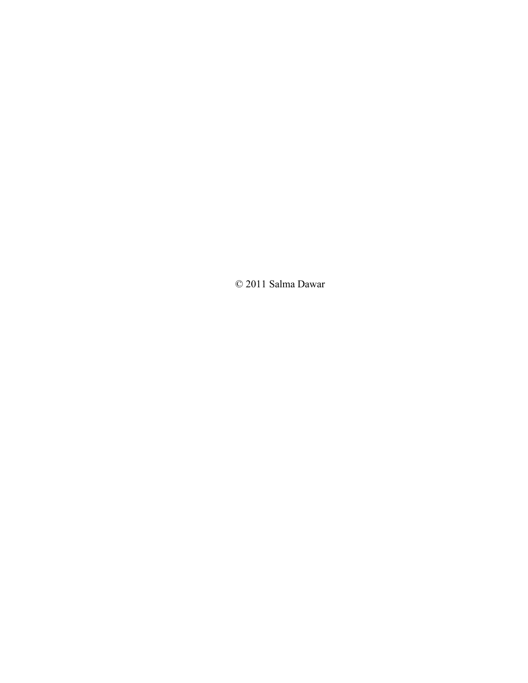© 2011 Salma Dawar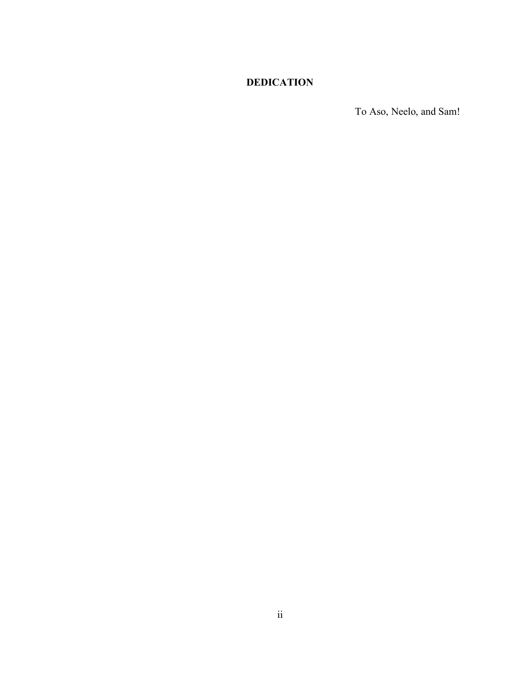## **DEDICATION**

To Aso, Neelo, and Sam!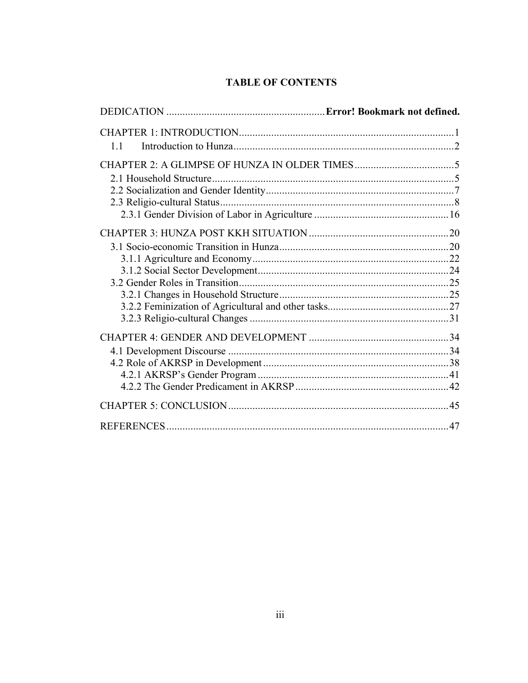# **TABLE OF CONTENTS**

| 11 |    |
|----|----|
|    |    |
|    |    |
|    |    |
|    |    |
|    |    |
|    |    |
|    |    |
|    |    |
|    |    |
|    |    |
|    |    |
|    |    |
|    |    |
|    |    |
|    |    |
|    |    |
|    |    |
|    |    |
|    |    |
|    | 47 |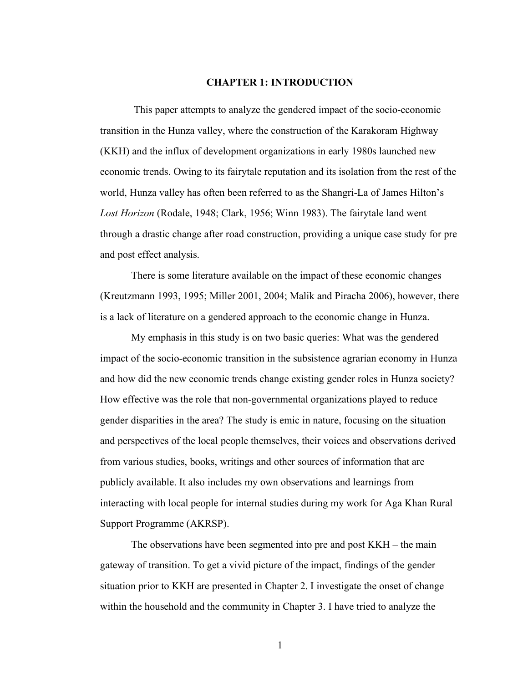#### **CHAPTER 1: INTRODUCTION**

<span id="page-5-0"></span> This paper attempts to analyze the gendered impact of the socio-economic transition in the Hunza valley, where the construction of the Karakoram Highway (KKH) and the influx of development organizations in early 1980s launched new economic trends. Owing to its fairytale reputation and its isolation from the rest of the world, Hunza valley has often been referred to as the Shangri-La of James Hilton's *Lost Horizon* (Rodale, 1948; Clark, 1956; Winn 1983). The fairytale land went through a drastic change after road construction, providing a unique case study for pre and post effect analysis.

 There is some literature available on the impact of these economic changes (Kreutzmann 1993, 1995; Miller 2001, 2004; Malik and Piracha 2006), however, there is a lack of literature on a gendered approach to the economic change in Hunza.

 My emphasis in this study is on two basic queries: What was the gendered impact of the socio-economic transition in the subsistence agrarian economy in Hunza and how did the new economic trends change existing gender roles in Hunza society? How effective was the role that non-governmental organizations played to reduce gender disparities in the area? The study is emic in nature, focusing on the situation and perspectives of the local people themselves, their voices and observations derived from various studies, books, writings and other sources of information that are publicly available. It also includes my own observations and learnings from interacting with local people for internal studies during my work for Aga Khan Rural Support Programme (AKRSP).

 The observations have been segmented into pre and post KKH – the main gateway of transition. To get a vivid picture of the impact, findings of the gender situation prior to KKH are presented in Chapter 2. I investigate the onset of change within the household and the community in Chapter 3. I have tried to analyze the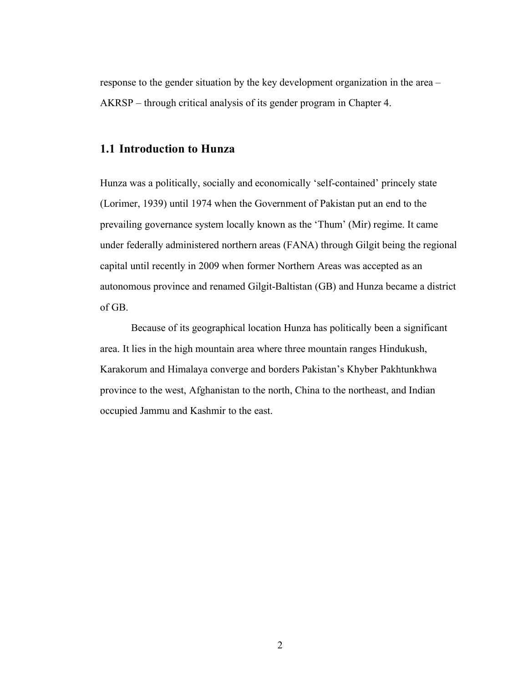<span id="page-6-0"></span> response to the gender situation by the key development organization in the area – AKRSP – through critical analysis of its gender program in Chapter 4.

### **1.1 Introduction to Hunza**

 Hunza was a politically, socially and economically 'self-contained' princely state (Lorimer, 1939) until 1974 when the Government of Pakistan put an end to the prevailing governance system locally known as the 'Thum' (Mir) regime. It came under federally administered northern areas (FANA) through Gilgit being the regional capital until recently in 2009 when former Northern Areas was accepted as an autonomous province and renamed Gilgit-Baltistan (GB) and Hunza became a district of GB.

 Because of its geographical location Hunza has politically been a significant area. It lies in the high mountain area where three mountain ranges Hindukush, Karakorum and Himalaya converge and borders Pakistan's Khyber Pakhtunkhwa province to the west, Afghanistan to the north, China to the northeast, and Indian occupied Jammu and Kashmir to the east.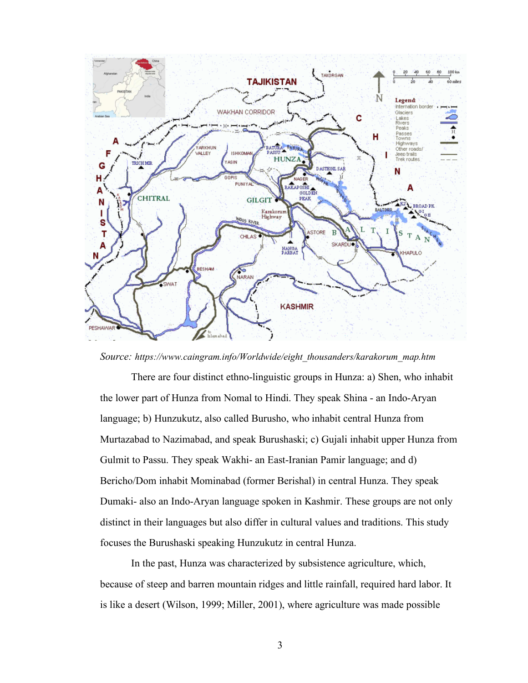

*Source: [https://www.caingram.info/Worldwide/eight\\_thousanders/karakorum\\_map.htm](https://www.caingram.info/Worldwide/eight_thousanders/karakorum_map.htm)* 

 There are four distinct ethno-linguistic groups in Hunza: a) Shen, who inhabit the lower part of Hunza from Nomal to Hindi. They speak Shina - an Indo-Aryan language; b) Hunzukutz, also called Burusho, who inhabit central Hunza from Murtazabad to Nazimabad, and speak Burushaski; c) Gujali inhabit upper Hunza from Gulmit to Passu. They speak Wakhi- an East-Iranian Pamir language; and d) Bericho/Dom inhabit Mominabad (former Berishal) in central Hunza. They speak Dumaki- also an Indo-Aryan language spoken in Kashmir. These groups are not only distinct in their languages but also differ in cultural values and traditions. This study focuses the Burushaski speaking Hunzukutz in central Hunza.

 In the past, Hunza was characterized by subsistence agriculture, which, because of steep and barren mountain ridges and little rainfall, required hard labor. It is like a desert (Wilson, 1999; Miller, 2001), where agriculture was made possible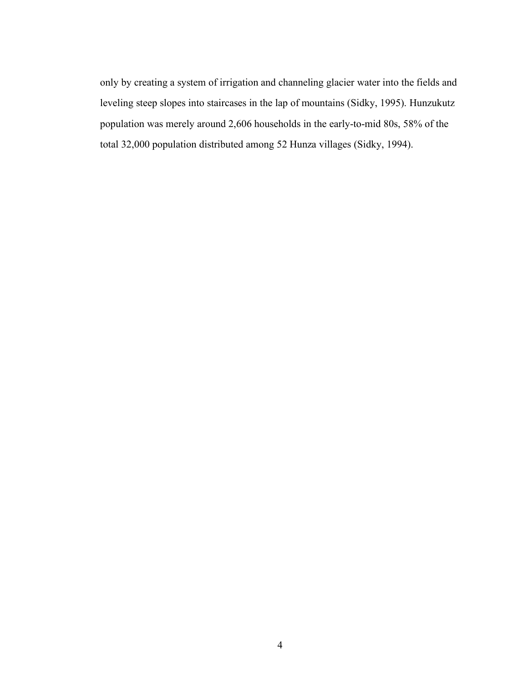only by creating a system of irrigation and channeling glacier water into the fields and leveling steep slopes into staircases in the lap of mountains (Sidky, 1995). Hunzukutz population was merely around 2,606 households in the early-to-mid 80s, 58% of the total 32,000 population distributed among 52 Hunza villages (Sidky, 1994).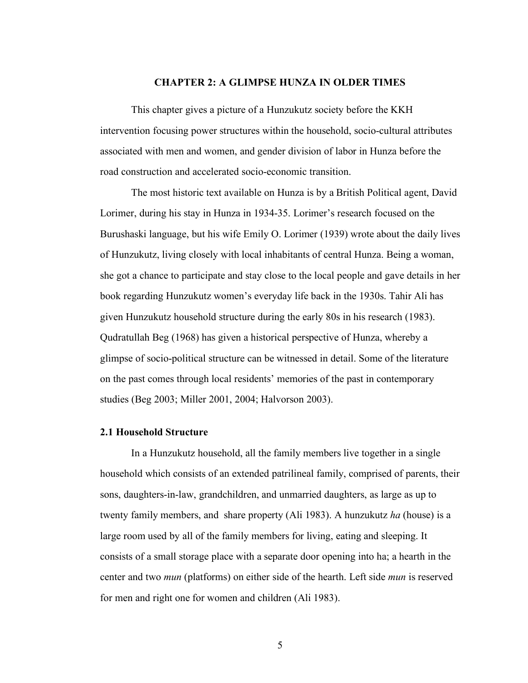#### **CHAPTER 2: A GLIMPSE HUNZA IN OLDER TIMES**

<span id="page-9-0"></span> This chapter gives a picture of a Hunzukutz society before the KKH intervention focusing power structures within the household, socio-cultural attributes associated with men and women, and gender division of labor in Hunza before the road construction and accelerated socio-economic transition.

 The most historic text available on Hunza is by a British Political agent, David Lorimer, during his stay in Hunza in 1934-35. Lorimer's research focused on the Burushaski language, but his wife Emily O. Lorimer (1939) wrote about the daily lives of Hunzukutz, living closely with local inhabitants of central Hunza. Being a woman, she got a chance to participate and stay close to the local people and gave details in her book regarding Hunzukutz women's everyday life back in the 1930s. Tahir Ali has given Hunzukutz household structure during the early 80s in his research (1983). Qudratullah Beg (1968) has given a historical perspective of Hunza, whereby a glimpse of socio-political structure can be witnessed in detail. Some of the literature on the past comes through local residents' memories of the past in contemporary studies (Beg 2003; Miller 2001, 2004; Halvorson 2003).

#### **2.1 Household Structure**

 In a Hunzukutz household, all the family members live together in a single household which consists of an extended patrilineal family, comprised of parents, their sons, daughters-in-law, grandchildren, and unmarried daughters, as large as up to twenty family members, and share property (Ali 1983). A hunzukutz *ha* (house) is a large room used by all of the family members for living, eating and sleeping. It consists of a small storage place with a separate door opening into ha; a hearth in the center and two *mun* (platforms) on either side of the hearth. Left side *mun* is reserved for men and right one for women and children (Ali 1983).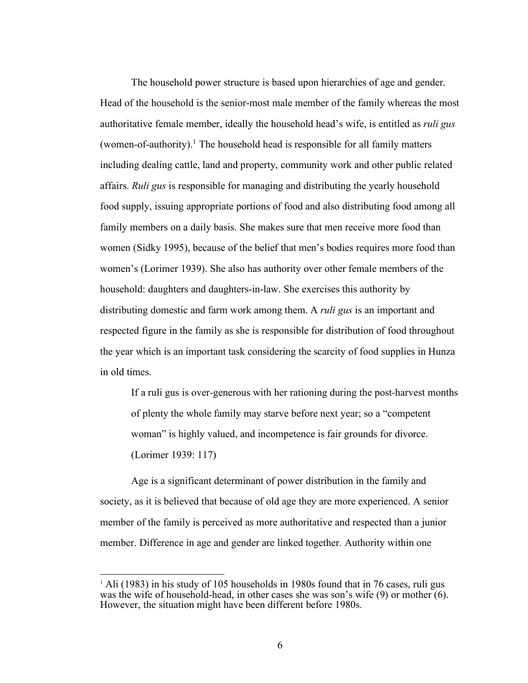The household power structure is based upon hierarchies of age and gender. Head of the household is the senior-most male member of the family whereas the most authoritative female member, ideally the household head's wife, is entitled as *ruli gus*  (women-of-authority).<sup>1</sup> The household head is responsible for all family matters including dealing cattle, land and property, community work and other public related affairs. *Ruli gus* is responsible for managing and distributing the yearly household food supply, issuing appropriate portions of food and also distributing food among all family members on a daily basis. She makes sure that men receive more food than women (Sidky 1995), because of the belief that men's bodies requires more food than women's (Lorimer 1939). She also has authority over other female members of the household: daughters and daughters-in-law. She exercises this authority by distributing domestic and farm work among them. A *ruli gus* is an important and respected figure in the family as she is responsible for distribution of food throughout the year which is an important task considering the scarcity of food supplies in Hunza in old times.

 If a ruli gus is over-generous with her rationing during the post-harvest months of plenty the whole family may starve before next year; so a "competent woman" is highly valued, and incompetence is fair grounds for divorce. (Lorimer 1939: 117)

 Age is a significant determinant of power distribution in the family and society, as it is believed that because of old age they are more experienced. A senior member of the family is perceived as more authoritative and respected than a junior member. Difference in age and gender are linked together. Authority within one

<sup>1</sup> <sup>1</sup> Ali (1983) in his study of 105 households in 1980s found that in 76 cases, ruli gus was the wife of household-head, in other cases she was son's wife (9) or mother (6). However, the situation might have been different before 1980s.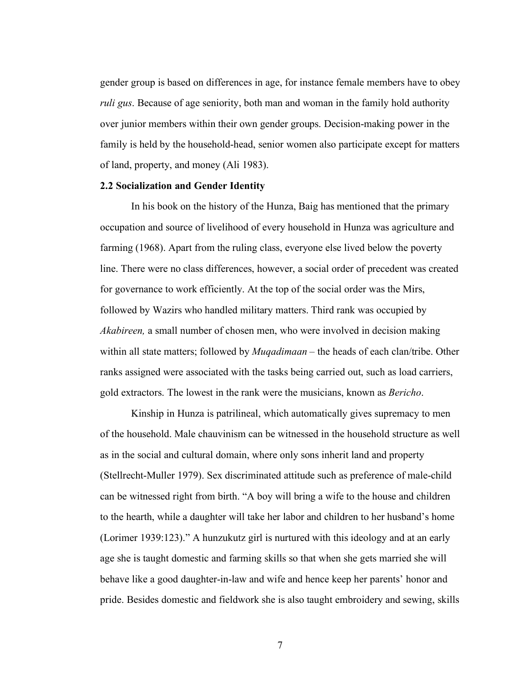<span id="page-11-0"></span> gender group is based on differences in age, for instance female members have to obey *ruli gus*. Because of age seniority, both man and woman in the family hold authority over junior members within their own gender groups. Decision-making power in the family is held by the household-head, senior women also participate except for matters of land, property, and money (Ali 1983).

#### **2.2 Socialization and Gender Identity**

 In his book on the history of the Hunza, Baig has mentioned that the primary occupation and source of livelihood of every household in Hunza was agriculture and farming (1968). Apart from the ruling class, everyone else lived below the poverty line. There were no class differences, however, a social order of precedent was created for governance to work efficiently. At the top of the social order was the Mirs, followed by Wazirs who handled military matters. Third rank was occupied by *Akabireen,* a small number of chosen men, who were involved in decision making within all state matters; followed by *Muqadimaan* – the heads of each clan/tribe. Other ranks assigned were associated with the tasks being carried out, such as load carriers, gold extractors. The lowest in the rank were the musicians, known as *Bericho*.

 Kinship in Hunza is patrilineal, which automatically gives supremacy to men of the household. Male chauvinism can be witnessed in the household structure as well as in the social and cultural domain, where only sons inherit land and property (Stellrecht-Muller 1979). Sex discriminated attitude such as preference of male-child can be witnessed right from birth. "A boy will bring a wife to the house and children to the hearth, while a daughter will take her labor and children to her husband's home (Lorimer 1939:123)." A hunzukutz girl is nurtured with this ideology and at an early age she is taught domestic and farming skills so that when she gets married she will behave like a good daughter-in-law and wife and hence keep her parents' honor and pride. Besides domestic and fieldwork she is also taught embroidery and sewing, skills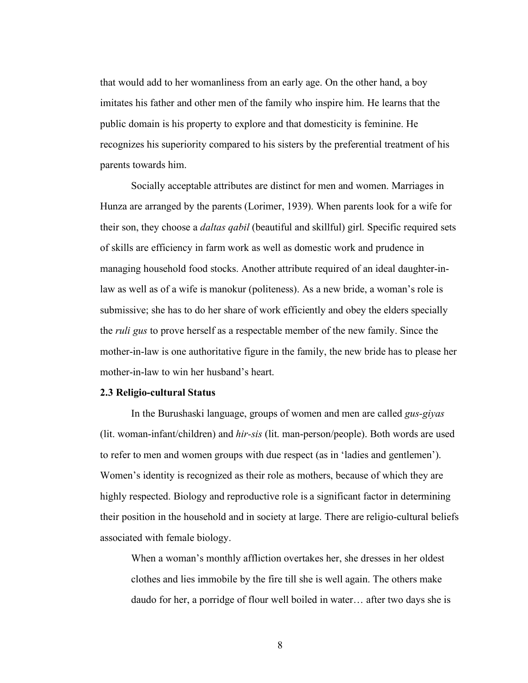<span id="page-12-0"></span> that would add to her womanliness from an early age. On the other hand, a boy imitates his father and other men of the family who inspire him. He learns that the public domain is his property to explore and that domesticity is feminine. He recognizes his superiority compared to his sisters by the preferential treatment of his parents towards him.

 Socially acceptable attributes are distinct for men and women. Marriages in Hunza are arranged by the parents (Lorimer, 1939). When parents look for a wife for their son, they choose a *daltas qabil* (beautiful and skillful) girl. Specific required sets of skills are efficiency in farm work as well as domestic work and prudence in managing household food stocks. Another attribute required of an ideal daughter-in- law as well as of a wife is manokur (politeness). As a new bride, a woman's role is submissive; she has to do her share of work efficiently and obey the elders specially the *ruli gus* to prove herself as a respectable member of the new family. Since the mother-in-law is one authoritative figure in the family, the new bride has to please her mother-in-law to win her husband's heart.

#### **2.3 Religio-cultural Status**

 In the Burushaski language, groups of women and men are called *gus-giyas*  (lit. woman-infant/children) and *hir-sis* (lit. man-person/people). Both words are used to refer to men and women groups with due respect (as in 'ladies and gentlemen'). Women's identity is recognized as their role as mothers, because of which they are highly respected. Biology and reproductive role is a significant factor in determining their position in the household and in society at large. There are religio-cultural beliefs associated with female biology.

 When a woman's monthly affliction overtakes her, she dresses in her oldest clothes and lies immobile by the fire till she is well again. The others make daudo for her, a porridge of flour well boiled in water… after two days she is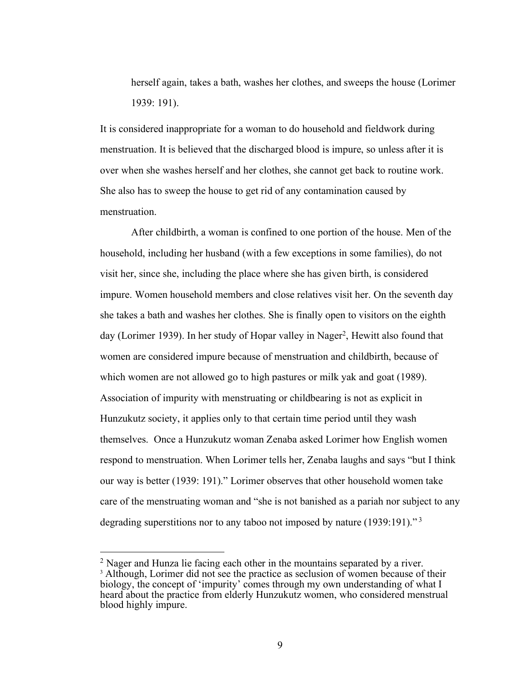herself again, takes a bath, washes her clothes, and sweeps the house (Lorimer 1939: 191).

 It is considered inappropriate for a woman to do household and fieldwork during menstruation. It is believed that the discharged blood is impure, so unless after it is over when she washes herself and her clothes, she cannot get back to routine work. She also has to sweep the house to get rid of any contamination caused by menstruation.

menstruation.<br>After childbirth, a woman is confined to one portion of the house. Men of the household, including her husband (with a few exceptions in some families), do not visit her, since she, including the place where she has given birth, is considered impure. Women household members and close relatives visit her. On the seventh day she takes a bath and washes her clothes. She is finally open to visitors on the eighth day (Lorimer 1939). In her study of Hopar valley in Nager<sup>2</sup>, Hewitt also found that women are considered impure because of menstruation and childbirth, because of which women are not allowed go to high pastures or milk yak and goat (1989). Association of impurity with menstruating or childbearing is not as explicit in Hunzukutz society, it applies only to that certain time period until they wash themselves. Once a Hunzukutz woman Zenaba asked Lorimer how English women respond to menstruation. When Lorimer tells her, Zenaba laughs and says "but I think our way is better (1939: 191)." Lorimer observes that other household women take care of the menstruating woman and "she is not banished as a pariah nor subject to any degrading superstitions nor to any taboo not imposed by nature (1939:191)."<sup>3</sup>

<u>.</u>

 $2$  Nager and Hunza lie facing each other in the mountains separated by a river. <sup>3</sup> Although, Lorimer did not see the practice as seclusion of women because of their biology, the concept of 'impurity' comes through my own understanding of what I heard about the practice from elderly Hunzukutz women, who considered menstrual blood highly impure.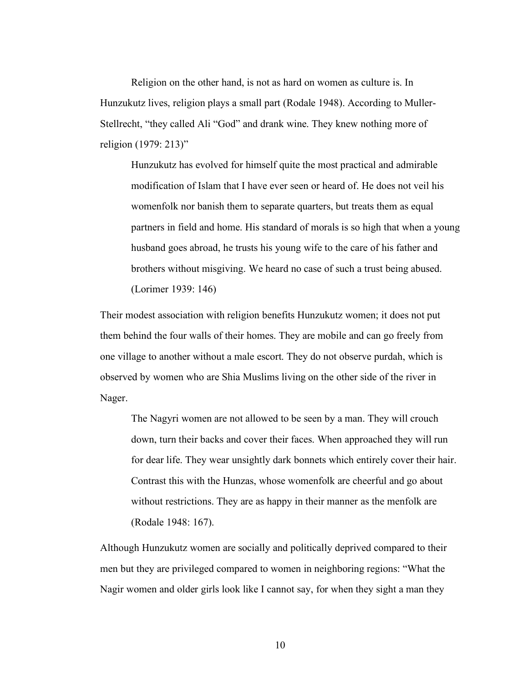Religion on the other hand, is not as hard on women as culture is. In Hunzukutz lives, religion plays a small part (Rodale 1948). According to Muller- Stellrecht, "they called Ali "God" and drank wine. They knew nothing more of religion (1979: 213)"

 Hunzukutz has evolved for himself quite the most practical and admirable modification of Islam that I have ever seen or heard of. He does not veil his womenfolk nor banish them to separate quarters, but treats them as equal partners in field and home. His standard of morals is so high that when a young husband goes abroad, he trusts his young wife to the care of his father and brothers without misgiving. We heard no case of such a trust being abused. (Lorimer 1939: 146)

 Their modest association with religion benefits Hunzukutz women; it does not put them behind the four walls of their homes. They are mobile and can go freely from one village to another without a male escort. They do not observe purdah, which is observed by women who are Shia Muslims living on the other side of the river in Nager. Nager. The Nagyri women are not allowed to be seen by a man. They will crouch

 down, turn their backs and cover their faces. When approached they will run for dear life. They wear unsightly dark bonnets which entirely cover their hair. Contrast this with the Hunzas, whose womenfolk are cheerful and go about without restrictions. They are as happy in their manner as the menfolk are (Rodale 1948: 167).

 Although Hunzukutz women are socially and politically deprived compared to their men but they are privileged compared to women in neighboring regions: "What the Nagir women and older girls look like I cannot say, for when they sight a man they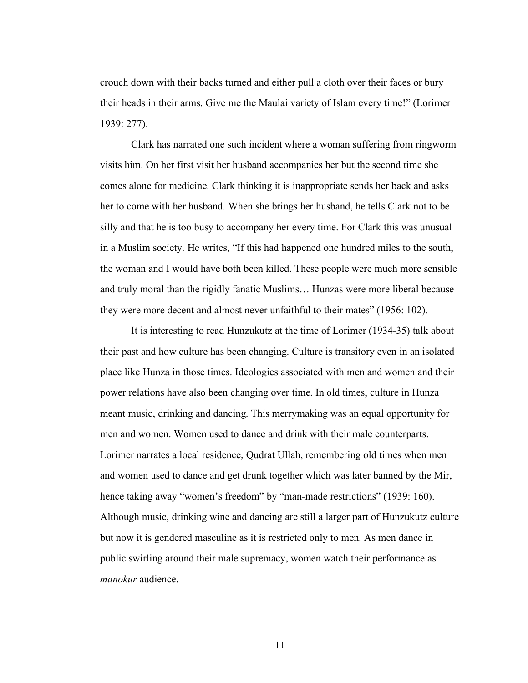crouch down with their backs turned and either pull a cloth over their faces or bury their heads in their arms. Give me the Maulai variety of Islam every time!" (Lorimer 1939: 277).

 Clark has narrated one such incident where a woman suffering from ringworm visits him. On her first visit her husband accompanies her but the second time she comes alone for medicine. Clark thinking it is inappropriate sends her back and asks her to come with her husband. When she brings her husband, he tells Clark not to be silly and that he is too busy to accompany her every time. For Clark this was unusual in a Muslim society. He writes, "If this had happened one hundred miles to the south, the woman and I would have both been killed. These people were much more sensible and truly moral than the rigidly fanatic Muslims… Hunzas were more liberal because they were more decent and almost never unfaithful to their mates" (1956: 102).

 It is interesting to read Hunzukutz at the time of Lorimer (1934-35) talk about their past and how culture has been changing. Culture is transitory even in an isolated place like Hunza in those times. Ideologies associated with men and women and their power relations have also been changing over time. In old times, culture in Hunza meant music, drinking and dancing. This merrymaking was an equal opportunity for men and women. Women used to dance and drink with their male counterparts. Lorimer narrates a local residence, Qudrat Ullah, remembering old times when men and women used to dance and get drunk together which was later banned by the Mir, hence taking away "women's freedom" by "man-made restrictions" (1939: 160). Although music, drinking wine and dancing are still a larger part of Hunzukutz culture but now it is gendered masculine as it is restricted only to men. As men dance in public swirling around their male supremacy, women watch their performance as *manokur* audience.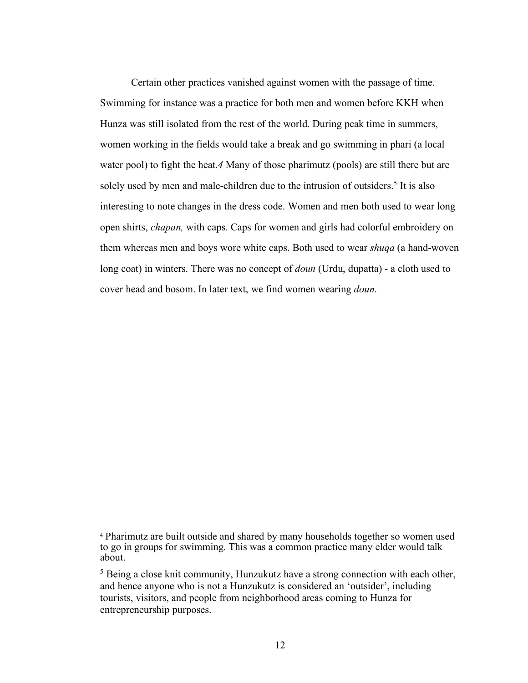Certain other practices vanished against women with the passage of time. Swimming for instance was a practice for both men and women before KKH when Hunza was still isolated from the rest of the world. During peak time in summers, women working in the fields would take a break and go swimming in phari (a local water pool) to fight the heat.*4* Many of those pharimutz (pools) are still there but are solely used by men and male-children due to the intrusion of outsiders.<sup>5</sup> It is also interesting to note changes in the dress code. Women and men both used to wear long open shirts, *chapan,* with caps. Caps for women and girls had colorful embroidery on them whereas men and boys wore white caps. Both used to wear *shuqa* (a hand-woven long coat) in winters. There was no concept of *doun* (Urdu, dupatta) - a cloth used to cover head and bosom. In later text, we find women wearing *doun*.

<u>.</u>

 4 Pharimutz are built outside and shared by many households together so women used to go in groups for swimming. This was a common practice many elder would talk about.

<sup>&</sup>lt;sup>5</sup> Being a close knit community, Hunzukutz have a strong connection with each other, and hence anyone who is not a Hunzukutz is considered an 'outsider', including tourists, visitors, and people from neighborhood areas coming to Hunza for entrepreneurship purposes.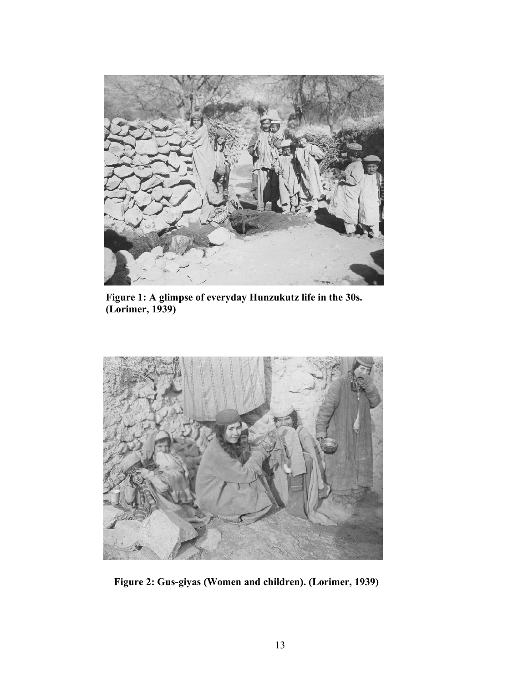

 **Figure 1: A glimpse of everyday Hunzukutz life in the 30s. (Lorimer, 1939)** 



 **Figure 2: Gus-giyas (Women and children). (Lorimer, 1939)**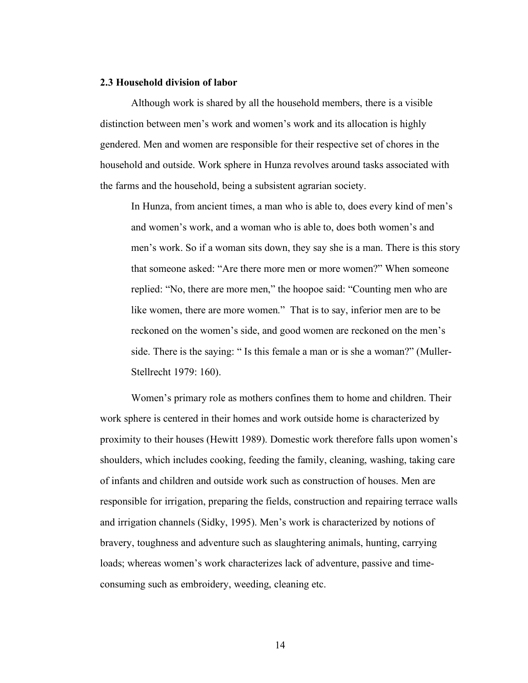#### **2.3 Household division of labor**

 Although work is shared by all the household members, there is a visible distinction between men's work and women's work and its allocation is highly gendered. Men and women are responsible for their respective set of chores in the household and outside. Work sphere in Hunza revolves around tasks associated with the farms and the household, being a subsistent agrarian society.

 In Hunza, from ancient times, a man who is able to, does every kind of men's and women's work, and a woman who is able to, does both women's and men's work. So if a woman sits down, they say she is a man. There is this story that someone asked: "Are there more men or more women?" When someone replied: "No, there are more men," the hoopoe said: "Counting men who are like women, there are more women." That is to say, inferior men are to be reckoned on the women's side, and good women are reckoned on the men's side. There is the saying: " Is this female a man or is she a woman?" (Muller-Stellrecht 1979: 160).

 Women's primary role as mothers confines them to home and children. Their work sphere is centered in their homes and work outside home is characterized by proximity to their houses (Hewitt 1989). Domestic work therefore falls upon women's shoulders, which includes cooking, feeding the family, cleaning, washing, taking care of infants and children and outside work such as construction of houses. Men are responsible for irrigation, preparing the fields, construction and repairing terrace walls and irrigation channels (Sidky, 1995). Men's work is characterized by notions of bravery, toughness and adventure such as slaughtering animals, hunting, carrying loads; whereas women's work characterizes lack of adventure, passive and time-consuming such as embroidery, weeding, cleaning etc.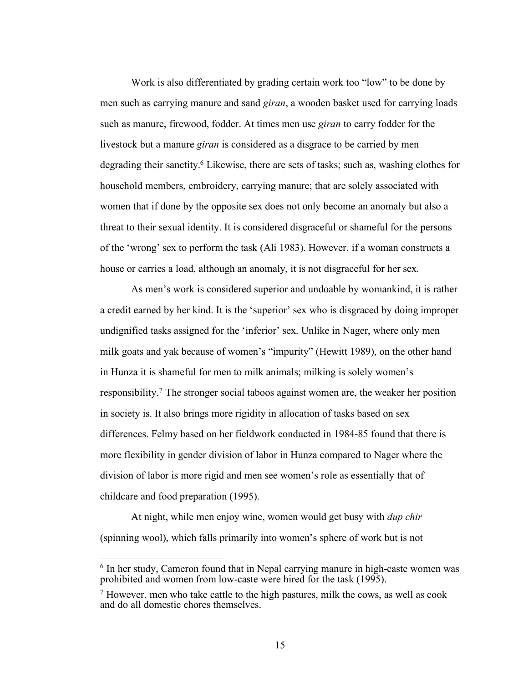Work is also differentiated by grading certain work too "low" to be done by men such as carrying manure and sand *giran*, a wooden basket used for carrying loads such as manure, firewood, fodder. At times men use *giran* to carry fodder for the livestock but a manure *giran* is considered as a disgrace to be carried by men degrading their sanctity.<sup>6</sup> Likewise, there are sets of tasks; such as, washing clothes for household members, embroidery, carrying manure; that are solely associated with women that if done by the opposite sex does not only become an anomaly but also a threat to their sexual identity. It is considered disgraceful or shameful for the persons of the 'wrong' sex to perform the task (Ali 1983). However, if a woman constructs a house or carries a load, although an anomaly, it is not disgraceful for her sex.

 As men's work is considered superior and undoable by womankind, it is rather a credit earned by her kind. It is the 'superior' sex who is disgraced by doing improper undignified tasks assigned for the 'inferior' sex. Unlike in Nager, where only men milk goats and yak because of women's "impurity" (Hewitt 1989), on the other hand in Hunza it is shameful for men to milk animals; milking is solely women's responsibility.<sup>7</sup> The stronger social taboos against women are, the weaker her position in society is. It also brings more rigidity in allocation of tasks based on sex differences. Felmy based on her fieldwork conducted in 1984-85 found that there is more flexibility in gender division of labor in Hunza compared to Nager where the division of labor is more rigid and men see women's role as essentially that of childcare and food preparation (1995).

 At night, while men enjoy wine, women would get busy with *dup chir*  (spinning wool), which falls primarily into women's sphere of work but is not

 $6$  In her study, Cameron found that in Nepal carrying manure in high-caste women was prohibited and women from low-caste were hired for the task (1995).

 $<sup>7</sup>$  However, men who take cattle to the high pastures, milk the cows, as well as cook</sup> and do all domestic chores themselves.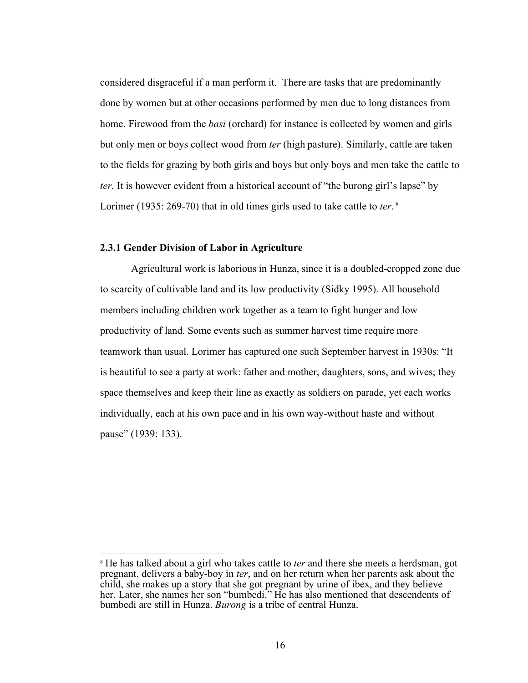<span id="page-20-0"></span> considered disgraceful if a man perform it. There are tasks that are predominantly done by women but at other occasions performed by men due to long distances from home. Firewood from the *basi* (orchard) for instance is collected by women and girls but only men or boys collect wood from *ter* (high pasture). Similarly, cattle are taken to the fields for grazing by both girls and boys but only boys and men take the cattle to *ter*. It is however evident from a historical account of "the burong girl's lapse" by Lorimer (1935: 269-70) that in old times girls used to take cattle to *ter*. <sup>8</sup>

#### **2.3.1 Gender Division of Labor in Agriculture**

1

 Agricultural work is laborious in Hunza, since it is a doubled-cropped zone due to scarcity of cultivable land and its low productivity (Sidky 1995). All household members including children work together as a team to fight hunger and low productivity of land. Some events such as summer harvest time require more teamwork than usual. Lorimer has captured one such September harvest in 1930s: "It is beautiful to see a party at work: father and mother, daughters, sons, and wives; they space themselves and keep their line as exactly as soldiers on parade, yet each works individually, each at his own pace and in his own way-without haste and without pause" (1939: 133).

 8 He has talked about a girl who takes cattle to *ter* and there she meets a herdsman, got pregnant, delivers a baby-boy in *ter*, and on her return when her parents ask about the child, she makes up a story that she got pregnant by urine of ibex, and they believe her. Later, she names her son "bumbedi." He has also mentioned that descendents of bumbedi are still in Hunza. *Burong* is a tribe of central Hunza.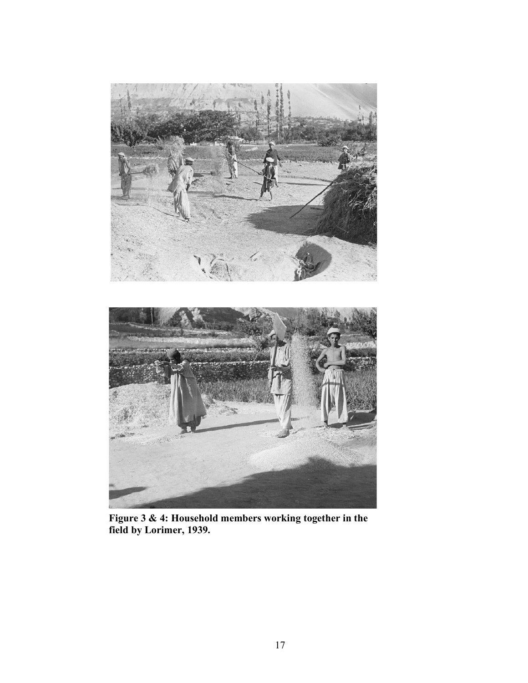



**Figure 3 & 4: Household members working together in the field by Lorimer, 1939.**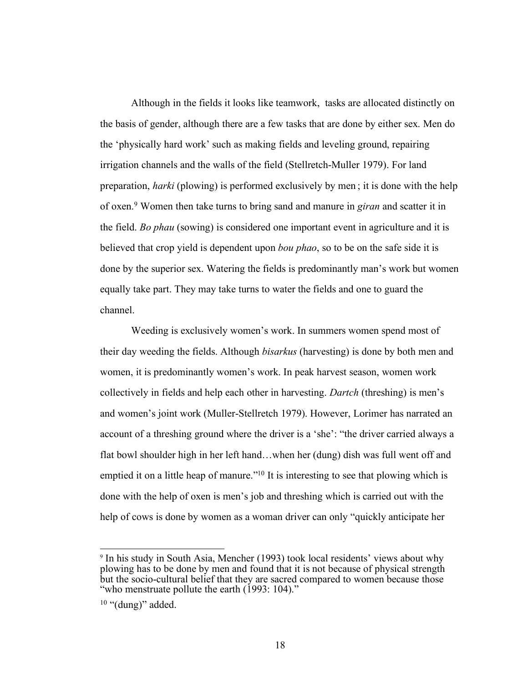Although in the fields it looks like teamwork, tasks are allocated distinctly on the basis of gender, although there are a few tasks that are done by either sex. Men do the 'physically hard work' such as making fields and leveling ground, repairing irrigation channels and the walls of the field (Stellretch-Muller 1979). For land preparation, *harki* (plowing) is performed exclusively by men ; it is done with the help of oxen.9 Women then take turns to bring sand and manure in *giran* and scatter it in the field. *Bo phau* (sowing) is considered one important event in agriculture and it is believed that crop yield is dependent upon *bou phao*, so to be on the safe side it is done by the superior sex. Watering the fields is predominantly man's work but women equally take part. They may take turns to water the fields and one to guard the channel.

 channel. Weeding is exclusively women's work. In summers women spend most of their day weeding the fields. Although *bisarkus* (harvesting) is done by both men and women, it is predominantly women's work. In peak harvest season, women work collectively in fields and help each other in harvesting. *Dartch* (threshing) is men's and women's joint work (Muller-Stellretch 1979). However, Lorimer has narrated an account of a threshing ground where the driver is a 'she': "the driver carried always a flat bowl shoulder high in her left hand…when her (dung) dish was full went off and emptied it on a little heap of manure."<sup>10</sup> It is interesting to see that plowing which is done with the help of oxen is men's job and threshing which is carried out with the help of cows is done by women as a woman driver can only "quickly anticipate her

 9 In his study in South Asia, Mencher (1993) took local residents' views about why plowing has to be done by men and found that it is not because of physical strength but the socio-cultural belief that they are sacred compared to women because those "who menstruate pollute the earth (1993: 104)."

 $10$  "(dung)" added.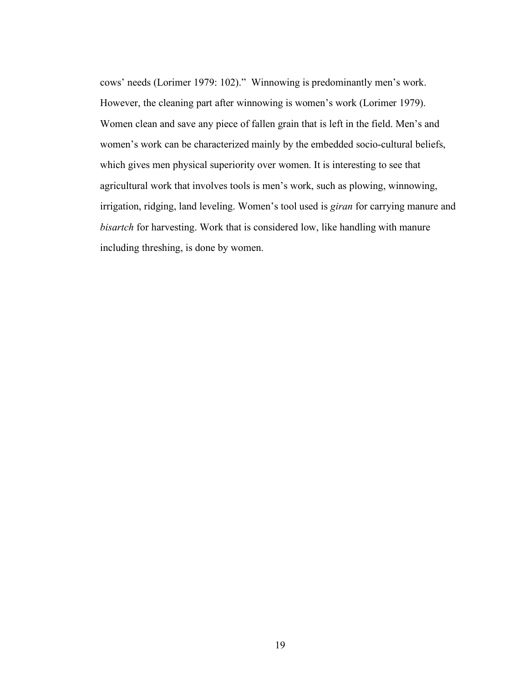cows' needs (Lorimer 1979: 102)." Winnowing is predominantly men's work. However, the cleaning part after winnowing is women's work (Lorimer 1979). Women clean and save any piece of fallen grain that is left in the field. Men's and women's work can be characterized mainly by the embedded socio-cultural beliefs, which gives men physical superiority over women. It is interesting to see that agricultural work that involves tools is men's work, such as plowing, winnowing, irrigation, ridging, land leveling. Women's tool used is *giran* for carrying manure and *bisartch* for harvesting. Work that is considered low, like handling with manure including threshing, is done by women.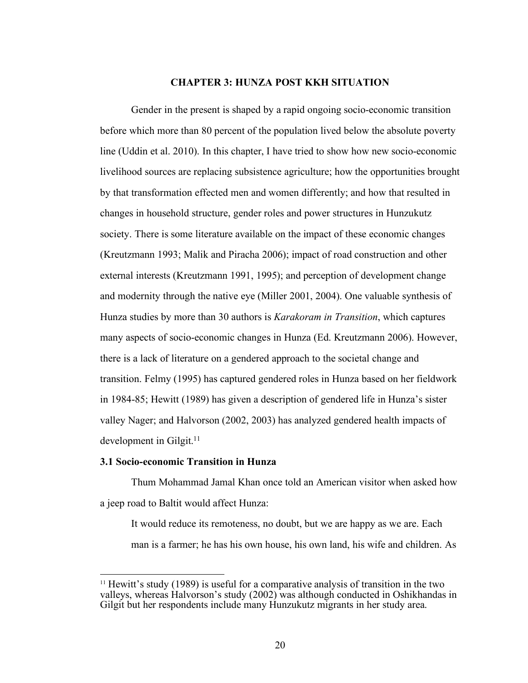#### **CHAPTER 3: HUNZA POST KKH SITUATION**

<span id="page-24-0"></span> Gender in the present is shaped by a rapid ongoing socio-economic transition before which more than 80 percent of the population lived below the absolute poverty line (Uddin et al. 2010). In this chapter, I have tried to show how new socio-economic livelihood sources are replacing subsistence agriculture; how the opportunities brought by that transformation effected men and women differently; and how that resulted in changes in household structure, gender roles and power structures in Hunzukutz society. There is some literature available on the impact of these economic changes (Kreutzmann 1993; Malik and Piracha 2006); impact of road construction and other external interests (Kreutzmann 1991, 1995); and perception of development change and modernity through the native eye (Miller 2001, 2004). One valuable synthesis of Hunza studies by more than 30 authors is *Karakoram in Transition*, which captures many aspects of socio-economic changes in Hunza (Ed. Kreutzmann 2006). However, there is a lack of literature on a gendered approach to the societal change and transition. Felmy (1995) has captured gendered roles in Hunza based on her fieldwork in 1984-85; Hewitt (1989) has given a description of gendered life in Hunza's sister valley Nager; and Halvorson (2002, 2003) has analyzed gendered health impacts of development in Gilgit. $11$ 

#### **3.1 Socio-economic Transition in Hunza**

1

 Thum Mohammad Jamal Khan once told an American visitor when asked how a jeep road to Baltit would affect Hunza:

 It would reduce its remoteness, no doubt, but we are happy as we are. Each man is a farmer; he has his own house, his own land, his wife and children. As

<sup>&</sup>lt;sup>11</sup> Hewitt's study (1989) is useful for a comparative analysis of transition in the two valleys, whereas Halvorson's study (2002) was although conducted in Oshikhandas in Gilgit but her respondents include many Hunzukutz migrants in her study area.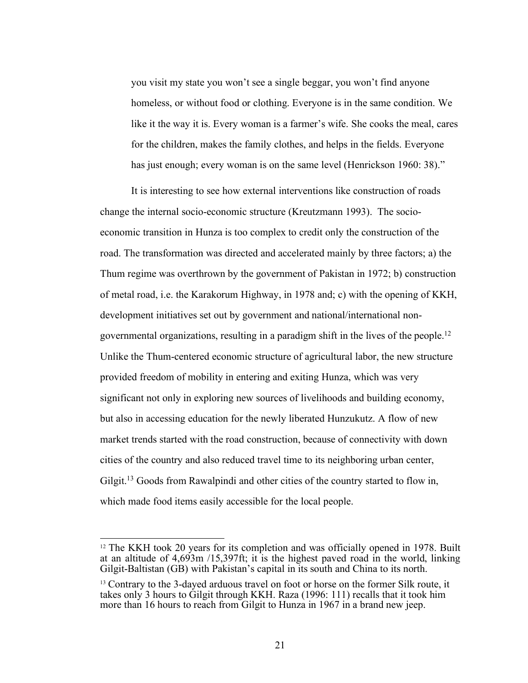you visit my state you won't see a single beggar, you won't find anyone homeless, or without food or clothing. Everyone is in the same condition. We like it the way it is. Every woman is a farmer's wife. She cooks the meal, cares for the children, makes the family clothes, and helps in the fields. Everyone has just enough; every woman is on the same level (Henrickson 1960: 38)."

 It is interesting to see how external interventions like construction of roads change the internal socio-economic structure (Kreutzmann 1993). The socio- economic transition in Hunza is too complex to credit only the construction of the road. The transformation was directed and accelerated mainly by three factors; a) the Thum regime was overthrown by the government of Pakistan in 1972; b) construction of metal road, i.e. the Karakorum Highway, in 1978 and; c) with the opening of KKH, development initiatives set out by government and national/international nongovernmental organizations, resulting in a paradigm shift in the lives of the people.<sup>12</sup> Unlike the Thum-centered economic structure of agricultural labor, the new structure provided freedom of mobility in entering and exiting Hunza, which was very significant not only in exploring new sources of livelihoods and building economy, but also in accessing education for the newly liberated Hunzukutz. A flow of new market trends started with the road construction, because of connectivity with down cities of the country and also reduced travel time to its neighboring urban center, Gilgit.<sup>13</sup> Goods from Rawalpindi and other cities of the country started to flow in, which made food items easily accessible for the local people.

<sup>&</sup>lt;sup>12</sup> The KKH took 20 years for its completion and was officially opened in 1978. Built at an altitude of 4,693m /15,397ft; it is the highest paved road in the world, linking Gilgit-Baltistan (GB) with Pakistan's capital in its south and China to its north.

<sup>&</sup>lt;sup>13</sup> Contrary to the 3-dayed arduous travel on foot or horse on the former Silk route, it takes only 3 hours to Gilgit through KKH. Raza (1996: 111) recalls that it took him more than 16 hours to reach from Gilgit to Hunza in 1967 in a brand new jeep.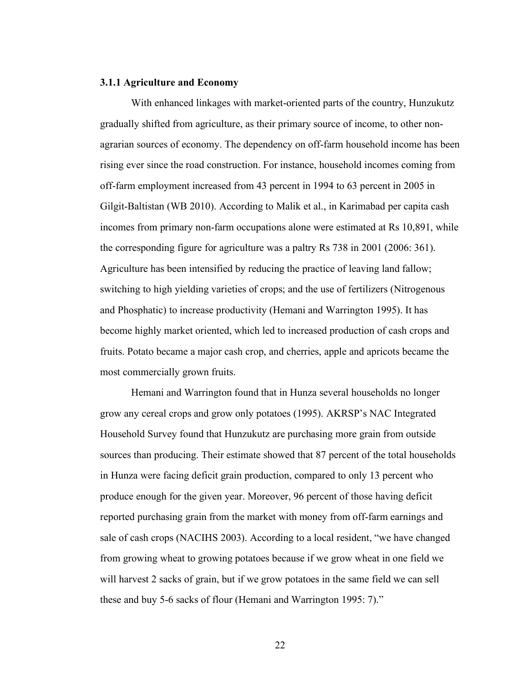#### <span id="page-26-0"></span> **3.1.1 Agriculture and Economy**

 With enhanced linkages with market-oriented parts of the country, Hunzukutz gradually shifted from agriculture, as their primary source of income, to other non- agrarian sources of economy. The dependency on off-farm household income has been rising ever since the road construction. For instance, household incomes coming from off-farm employment increased from 43 percent in 1994 to 63 percent in 2005 in Gilgit-Baltistan (WB 2010). According to Malik et al., in Karimabad per capita cash incomes from primary non-farm occupations alone were estimated at Rs 10,891, while the corresponding figure for agriculture was a paltry Rs 738 in 2001 (2006: 361). Agriculture has been intensified by reducing the practice of leaving land fallow; switching to high yielding varieties of crops; and the use of fertilizers (Nitrogenous and Phosphatic) to increase productivity (Hemani and Warrington 1995). It has become highly market oriented, which led to increased production of cash crops and fruits. Potato became a major cash crop, and cherries, apple and apricots became the most commercially grown fruits.

 Hemani and Warrington found that in Hunza several households no longer grow any cereal crops and grow only potatoes (1995). AKRSP's NAC Integrated Household Survey found that Hunzukutz are purchasing more grain from outside sources than producing. Their estimate showed that 87 percent of the total households in Hunza were facing deficit grain production, compared to only 13 percent who produce enough for the given year. Moreover, 96 percent of those having deficit reported purchasing grain from the market with money from off-farm earnings and sale of cash crops (NACIHS 2003). According to a local resident, "we have changed from growing wheat to growing potatoes because if we grow wheat in one field we will harvest 2 sacks of grain, but if we grow potatoes in the same field we can sell these and buy 5-6 sacks of flour (Hemani and Warrington 1995: 7)."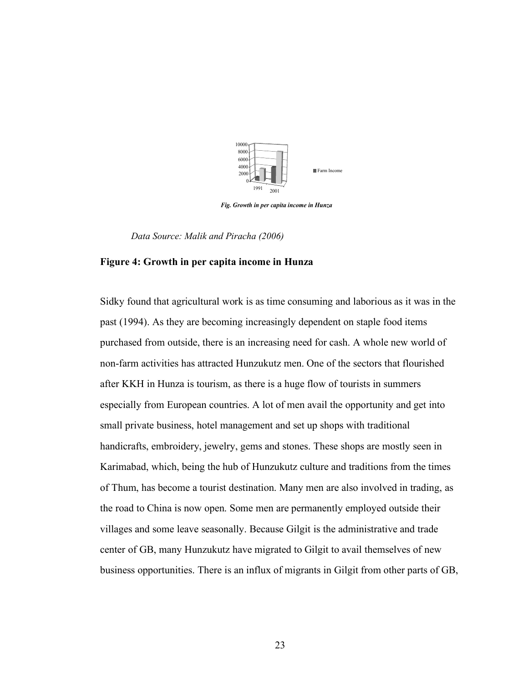

 *Fig. Growth in per capita income in Hunza* 

 *Data Source: Malik and Piracha (2006)* 

#### **Figure 4: Growth in per capita income in Hunza**

 Sidky found that agricultural work is as time consuming and laborious as it was in the past (1994). As they are becoming increasingly dependent on staple food items purchased from outside, there is an increasing need for cash. A whole new world of non-farm activities has attracted Hunzukutz men. One of the sectors that flourished after KKH in Hunza is tourism, as there is a huge flow of tourists in summers especially from European countries. A lot of men avail the opportunity and get into small private business, hotel management and set up shops with traditional handicrafts, embroidery, jewelry, gems and stones. These shops are mostly seen in Karimabad, which, being the hub of Hunzukutz culture and traditions from the times of Thum, has become a tourist destination. Many men are also involved in trading, as the road to China is now open. Some men are permanently employed outside their villages and some leave seasonally. Because Gilgit is the administrative and trade center of GB, many Hunzukutz have migrated to Gilgit to avail themselves of new business opportunities. There is an influx of migrants in Gilgit from other parts of GB,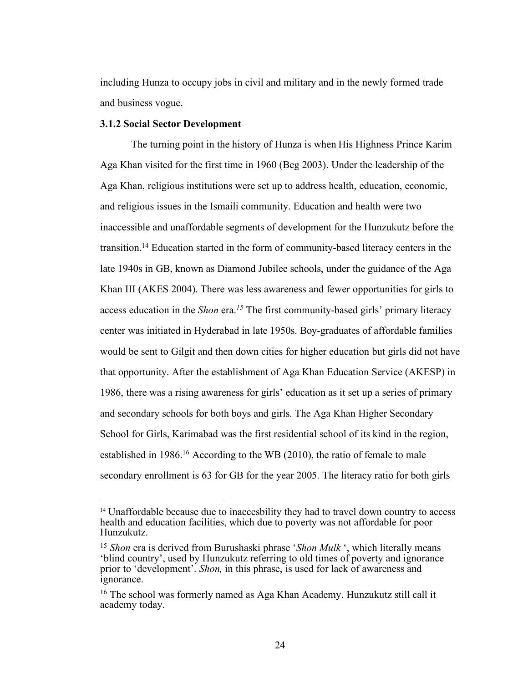<span id="page-28-0"></span> including Hunza to occupy jobs in civil and military and in the newly formed trade and business vogue.

#### **3.1.2 Social Sector Development**

1

 The turning point in the history of Hunza is when His Highness Prince Karim Aga Khan visited for the first time in 1960 (Beg 2003). Under the leadership of the Aga Khan, religious institutions were set up to address health, education, economic, and religious issues in the Ismaili community. Education and health were two inaccessible and unaffordable segments of development for the Hunzukutz before the transition.<sup>14</sup> Education started in the form of community-based literacy centers in the late 1940s in GB, known as Diamond Jubilee schools, under the guidance of the Aga Khan III (AKES 2004). There was less awareness and fewer opportunities for girls to access education in the *Shon* era.*<sup>15</sup>*The first community-based girls' primary literacy center was initiated in Hyderabad in late 1950s. Boy-graduates of affordable families would be sent to Gilgit and then down cities for higher education but girls did not have that opportunity. After the establishment of Aga Khan Education Service (AKESP) in 1986, there was a rising awareness for girls' education as it set up a series of primary and secondary schools for both boys and girls. The Aga Khan Higher Secondary School for Girls, Karimabad was the first residential school of its kind in the region, established in 1986.<sup>16</sup> According to the WB (2010), the ratio of female to male secondary enrollment is 63 for GB for the year 2005. The literacy ratio for both girls

<sup>&</sup>lt;sup>14</sup> Unaffordable because due to inaccesbility they had to travel down country to access health and education facilities, which due to poverty was not affordable for poor Hunzukutz.

 <sup>15</sup>*Shon* era is derived from Burushaski phrase '*Shon Mulk* ', which literally means 'blind country', used by Hunzukutz referring to old times of poverty and ignorance prior to 'development'. *Shon,* in this phrase, is used for lack of awareness and ignorance. ignorance.<br><sup>16</sup> The school was formerly named as Aga Khan Academy. Hunzukutz still call it

academy today. academy today.<br>
24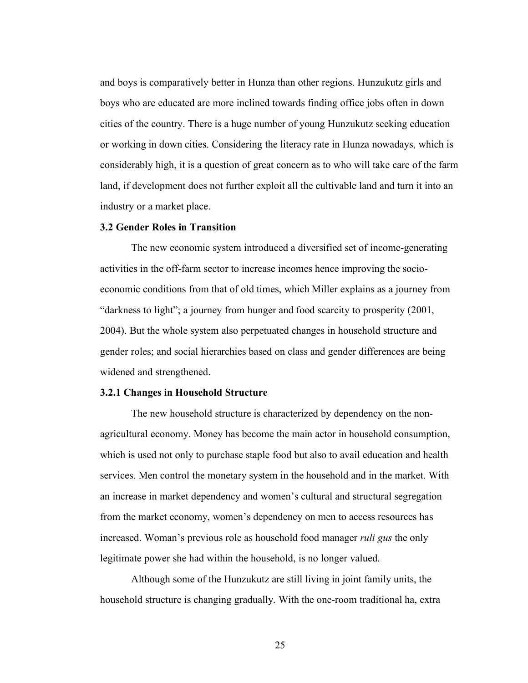<span id="page-29-0"></span> and boys is comparatively better in Hunza than other regions. Hunzukutz girls and boys who are educated are more inclined towards finding office jobs often in down cities of the country. There is a huge number of young Hunzukutz seeking education or working in down cities. Considering the literacy rate in Hunza nowadays, which is considerably high, it is a question of great concern as to who will take care of the farm land, if development does not further exploit all the cultivable land and turn it into an industry or a market place.

#### **3.2 Gender Roles in Transition**

 The new economic system introduced a diversified set of income-generating activities in the off-farm sector to increase incomes hence improving the socio- economic conditions from that of old times, which Miller explains as a journey from "darkness to light"; a journey from hunger and food scarcity to prosperity (2001, 2004). But the whole system also perpetuated changes in household structure and gender roles; and social hierarchies based on class and gender differences are being widened and strengthened.

#### **3.2.1 Changes in Household Structure**

 The new household structure is characterized by dependency on the non- agricultural economy. Money has become the main actor in household consumption, which is used not only to purchase staple food but also to avail education and health services. Men control the monetary system in the household and in the market. With an increase in market dependency and women's cultural and structural segregation from the market economy, women's dependency on men to access resources has increased. Woman's previous role as household food manager *ruli gus* the only legitimate power she had within the household, is no longer valued.

 Although some of the Hunzukutz are still living in joint family units, the household structure is changing gradually. With the one-room traditional ha, extra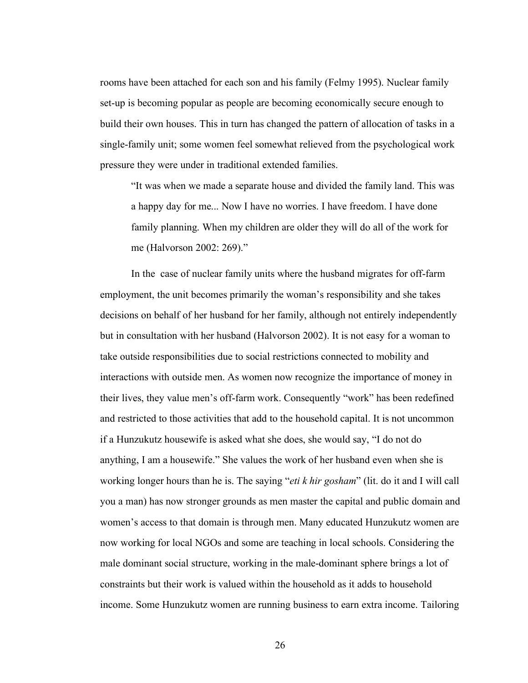rooms have been attached for each son and his family (Felmy 1995). Nuclear family set-up is becoming popular as people are becoming economically secure enough to build their own houses. This in turn has changed the pattern of allocation of tasks in a single-family unit; some women feel somewhat relieved from the psychological work pressure they were under in traditional extended families.

 "It was when we made a separate house and divided the family land. This was a happy day for me... Now I have no worries. I have freedom. I have done family planning. When my children are older they will do all of the work for me (Halvorson 2002: 269)."

 In the case of nuclear family units where the husband migrates for off-farm employment, the unit becomes primarily the woman's responsibility and she takes decisions on behalf of her husband for her family, although not entirely independently but in consultation with her husband (Halvorson 2002). It is not easy for a woman to take outside responsibilities due to social restrictions connected to mobility and interactions with outside men. As women now recognize the importance of money in their lives, they value men's off-farm work. Consequently "work" has been redefined and restricted to those activities that add to the household capital. It is not uncommon if a Hunzukutz housewife is asked what she does, she would say, "I do not do anything, I am a housewife." She values the work of her husband even when she is working longer hours than he is. The saying "*eti k hir gosham*" (lit. do it and I will call you a man) has now stronger grounds as men master the capital and public domain and women's access to that domain is through men. Many educated Hunzukutz women are now working for local NGOs and some are teaching in local schools. Considering the male dominant social structure, working in the male-dominant sphere brings a lot of constraints but their work is valued within the household as it adds to household income. Some Hunzukutz women are running business to earn extra income. Tailoring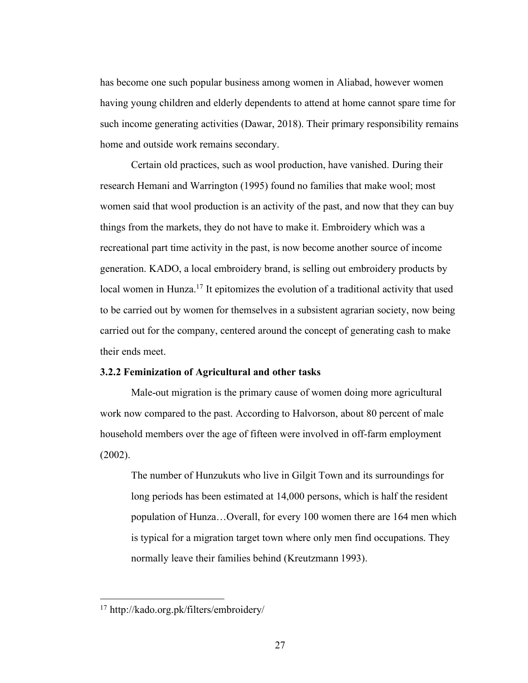<span id="page-31-0"></span> has become one such popular business among women in Aliabad, however women having young children and elderly dependents to attend at home cannot spare time for such income generating activities (Dawar, 2018). Their primary responsibility remains home and outside work remains secondary.

 Certain old practices, such as wool production, have vanished. During their research Hemani and Warrington (1995) found no families that make wool; most women said that wool production is an activity of the past, and now that they can buy things from the markets, they do not have to make it. Embroidery which was a recreational part time activity in the past, is now become another source of income generation. KADO, a local embroidery brand, is selling out embroidery products by local women in Hunza.<sup>17</sup> It epitomizes the evolution of a traditional activity that used to be carried out by women for themselves in a subsistent agrarian society, now being carried out for the company, centered around the concept of generating cash to make their ends meet.

#### **3.2.2 Feminization of Agricultural and other tasks**

 Male-out migration is the primary cause of women doing more agricultural work now compared to the past. According to Halvorson, about 80 percent of male household members over the age of fifteen were involved in off-farm employment (2002).

 The number of Hunzukuts who live in Gilgit Town and its surroundings for long periods has been estimated at 14,000 persons, which is half the resident population of Hunza…Overall, for every 100 women there are 164 men which is typical for a migration target town where only men find occupations. They normally leave their families behind (Kreutzmann 1993).

<u>.</u>

<sup>17</sup> [http://kado.org.pk/filters/embroidery/](http://kado.org.pk/filters/embroidery)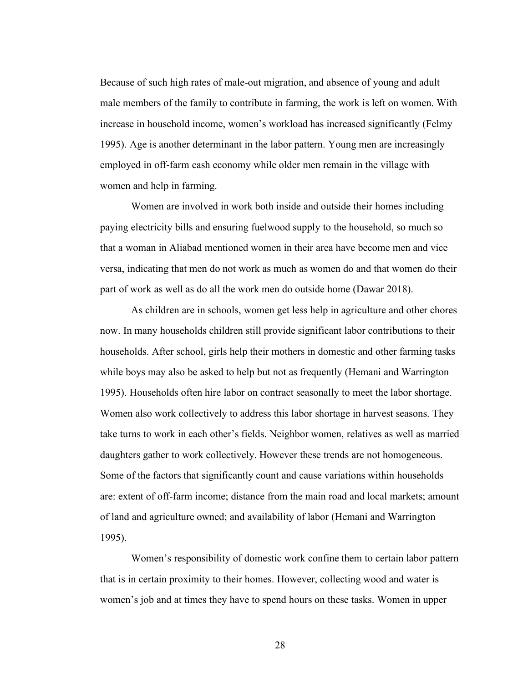Because of such high rates of male-out migration, and absence of young and adult male members of the family to contribute in farming, the work is left on women. With increase in household income, women's workload has increased significantly (Felmy 1995). Age is another determinant in the labor pattern. Young men are increasingly employed in off-farm cash economy while older men remain in the village with women and help in farming.

 Women are involved in work both inside and outside their homes including paying electricity bills and ensuring fuelwood supply to the household, so much so that a woman in Aliabad mentioned women in their area have become men and vice versa, indicating that men do not work as much as women do and that women do their part of work as well as do all the work men do outside home (Dawar 2018).

 As children are in schools, women get less help in agriculture and other chores now. In many households children still provide significant labor contributions to their households. After school, girls help their mothers in domestic and other farming tasks while boys may also be asked to help but not as frequently (Hemani and Warrington 1995). Households often hire labor on contract seasonally to meet the labor shortage. Women also work collectively to address this labor shortage in harvest seasons. They take turns to work in each other's fields. Neighbor women, relatives as well as married daughters gather to work collectively. However these trends are not homogeneous. Some of the factors that significantly count and cause variations within households are: extent of off-farm income; distance from the main road and local markets; amount of land and agriculture owned; and availability of labor (Hemani and Warrington 1995).

 Women's responsibility of domestic work confine them to certain labor pattern that is in certain proximity to their homes. However, collecting wood and water is women's job and at times they have to spend hours on these tasks. Women in upper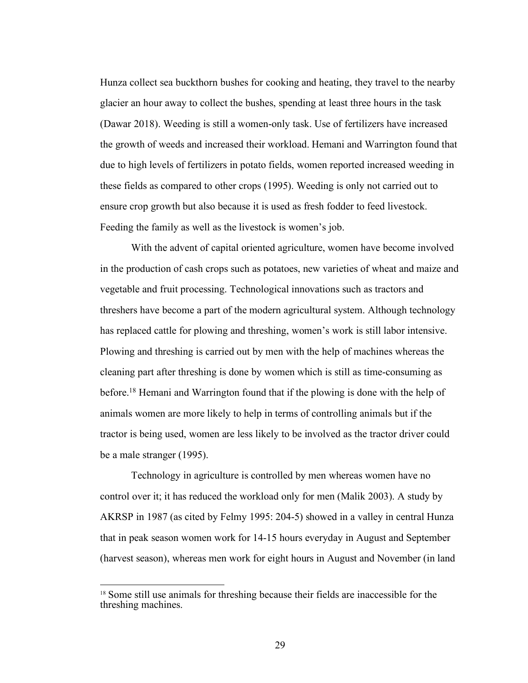Hunza collect sea buckthorn bushes for cooking and heating, they travel to the nearby glacier an hour away to collect the bushes, spending at least three hours in the task (Dawar 2018). Weeding is still a women-only task. Use of fertilizers have increased the growth of weeds and increased their workload. Hemani and Warrington found that due to high levels of fertilizers in potato fields, women reported increased weeding in these fields as compared to other crops (1995). Weeding is only not carried out to ensure crop growth but also because it is used as fresh fodder to feed livestock. Feeding the family as well as the livestock is women's job.

 With the advent of capital oriented agriculture, women have become involved in the production of cash crops such as potatoes, new varieties of wheat and maize and vegetable and fruit processing. Technological innovations such as tractors and threshers have become a part of the modern agricultural system. Although technology has replaced cattle for plowing and threshing, women's work is still labor intensive. Plowing and threshing is carried out by men with the help of machines whereas the cleaning part after threshing is done by women which is still as time-consuming as before.<sup>18</sup> Hemani and Warrington found that if the plowing is done with the help of animals women are more likely to help in terms of controlling animals but if the tractor is being used, women are less likely to be involved as the tractor driver could be a male stranger (1995).

 Technology in agriculture is controlled by men whereas women have no control over it; it has reduced the workload only for men (Malik 2003). A study by AKRSP in 1987 (as cited by Felmy 1995: 204-5) showed in a valley in central Hunza that in peak season women work for 14-15 hours everyday in August and September (harvest season), whereas men work for eight hours in August and November (in land

<sup>&</sup>lt;sup>18</sup> Some still use animals for threshing because their fields are inaccessible for the threshing machines. threshing machines.<br>
29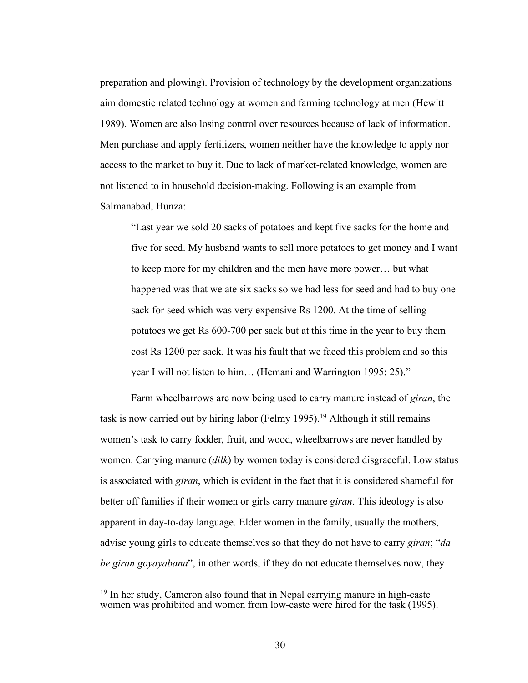preparation and plowing). Provision of technology by the development organizations aim domestic related technology at women and farming technology at men (Hewitt 1989). Women are also losing control over resources because of lack of information. Men purchase and apply fertilizers, women neither have the knowledge to apply nor access to the market to buy it. Due to lack of market-related knowledge, women are not listened to in household decision-making. Following is an example from Salmanabad, Hunza:

 "Last year we sold 20 sacks of potatoes and kept five sacks for the home and five for seed. My husband wants to sell more potatoes to get money and I want to keep more for my children and the men have more power… but what happened was that we ate six sacks so we had less for seed and had to buy one sack for seed which was very expensive Rs 1200. At the time of selling potatoes we get Rs 600-700 per sack but at this time in the year to buy them cost Rs 1200 per sack. It was his fault that we faced this problem and so this year I will not listen to him… (Hemani and Warrington 1995: 25)."

 Farm wheelbarrows are now being used to carry manure instead of *giran*, the task is now carried out by hiring labor (Felmy 1995).<sup>19</sup> Although it still remains women's task to carry fodder, fruit, and wood, wheelbarrows are never handled by women. Carrying manure (*dilk*) by women today is considered disgraceful. Low status is associated with *giran*, which is evident in the fact that it is considered shameful for better off families if their women or girls carry manure *giran*. This ideology is also apparent in day-to-day language. Elder women in the family, usually the mothers, advise young girls to educate themselves so that they do not have to carry *giran*; "*da be giran goyayabana*", in other words, if they do not educate themselves now, they

<sup>&</sup>lt;sup>19</sup> In her study, Cameron also found that in Nepal carrying manure in high-caste women was prohibited and women from low-caste were hired for the task (1995).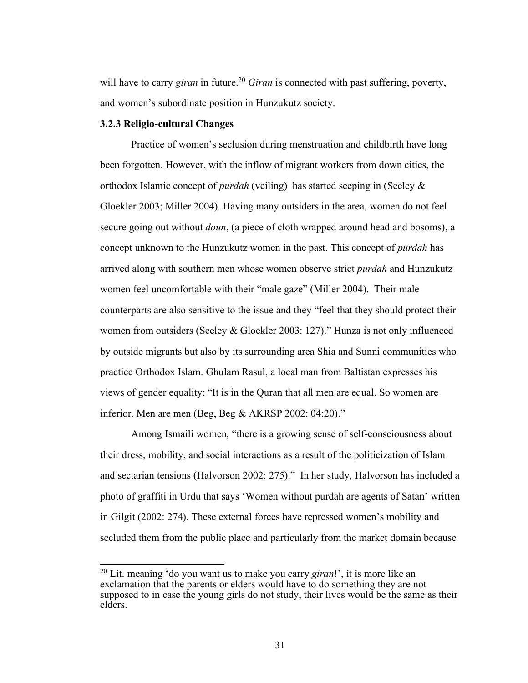<span id="page-35-0"></span>will have to carry *giran* in future.<sup>20</sup> *Giran* is connected with past suffering, poverty, and women's subordinate position in Hunzukutz society.

#### **3.2.3 Religio-cultural Changes**

1

 Practice of women's seclusion during menstruation and childbirth have long been forgotten. However, with the inflow of migrant workers from down cities, the orthodox Islamic concept of *purdah* (veiling) has started seeping in (Seeley & Gloekler 2003; Miller 2004). Having many outsiders in the area, women do not feel secure going out without *doun*, (a piece of cloth wrapped around head and bosoms), a concept unknown to the Hunzukutz women in the past. This concept of *purdah* has arrived along with southern men whose women observe strict *purdah* and Hunzukutz women feel uncomfortable with their "male gaze" (Miller 2004). Their male counterparts are also sensitive to the issue and they "feel that they should protect their women from outsiders (Seeley & Gloekler 2003: 127)." Hunza is not only influenced by outside migrants but also by its surrounding area Shia and Sunni communities who practice Orthodox Islam. Ghulam Rasul, a local man from Baltistan expresses his views of gender equality: "It is in the Quran that all men are equal. So women are inferior. Men are men (Beg, Beg & AKRSP 2002: 04:20)."

 Among Ismaili women, "there is a growing sense of self-consciousness about their dress, mobility, and social interactions as a result of the politicization of Islam and sectarian tensions (Halvorson 2002: 275)." In her study, Halvorson has included a photo of graffiti in Urdu that says 'Women without purdah are agents of Satan' written in Gilgit (2002: 274). These external forces have repressed women's mobility and secluded them from the public place and particularly from the market domain because

 20 Lit. meaning 'do you want us to make you carry *giran*!', it is more like an elders. exclamation that the parents or elders would have to do something they are not supposed to in case the young girls do not study, their lives would be the same as their elders.<br>31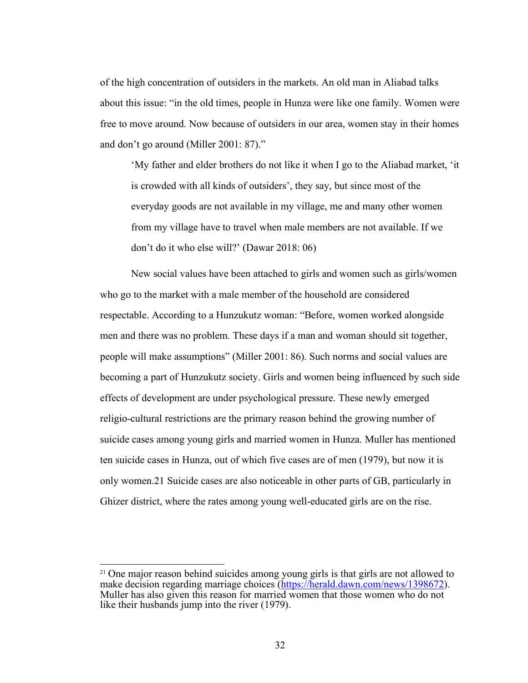of the high concentration of outsiders in the markets. An old man in Aliabad talks about this issue: "in the old times, people in Hunza were like one family. Women were free to move around. Now because of outsiders in our area, women stay in their homes and don't go around (Miller 2001: 87)."

 'My father and elder brothers do not like it when I go to the Aliabad market, 'it is crowded with all kinds of outsiders', they say, but since most of the everyday goods are not available in my village, me and many other women from my village have to travel when male members are not available. If we don't do it who else will?' (Dawar 2018: 06)

 New social values have been attached to girls and women such as girls/women who go to the market with a male member of the household are considered respectable. According to a Hunzukutz woman: "Before, women worked alongside men and there was no problem. These days if a man and woman should sit together, people will make assumptions" (Miller 2001: 86). Such norms and social values are becoming a part of Hunzukutz society. Girls and women being influenced by such side effects of development are under psychological pressure. These newly emerged religio-cultural restrictions are the primary reason behind the growing number of suicide cases among young girls and married women in Hunza. Muller has mentioned ten suicide cases in Hunza, out of which five cases are of men (1979), but now it is only [women.](https://women.21)21 Suicide cases are also noticeable in other parts of GB, particularly in Ghizer district, where the rates among young well-educated girls are on the rise.

<sup>&</sup>lt;sup>21</sup> One major reason behind suicides among young girls is that girls are not allowed to make decision regarding marriage choices (<https://herald.dawn.com/news/1398672>). Muller has also given this reason for married women that those women who do not like their husbands jump into the river (1979).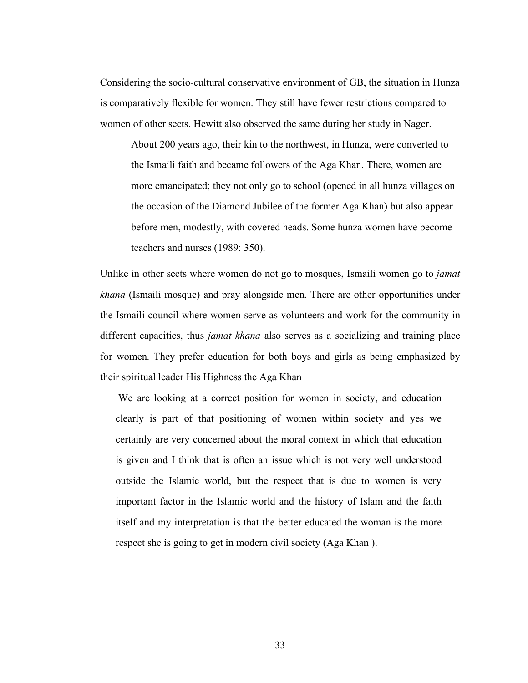Considering the socio-cultural conservative environment of GB, the situation in Hunza is comparatively flexible for women. They still have fewer restrictions compared to women of other sects. Hewitt also observed the same during her study in Nager.

 About 200 years ago, their kin to the northwest, in Hunza, were converted to the Ismaili faith and became followers of the Aga Khan. There, women are more emancipated; they not only go to school (opened in all hunza villages on the occasion of the Diamond Jubilee of the former Aga Khan) but also appear before men, modestly, with covered heads. Some hunza women have become teachers and nurses (1989: 350).

 Unlike in other sects where women do not go to mosques, Ismaili women go to *jamat khana* (Ismaili mosque) and pray alongside men. There are other opportunities under the Ismaili council where women serve as volunteers and work for the community in different capacities, thus *jamat khana* also serves as a socializing and training place for women. They prefer education for both boys and girls as being emphasized by their spiritual leader His Highness the Aga Khan

 We are looking at a correct position for women in society, and education clearly is part of that positioning of women within society and yes we certainly are very concerned about the moral context in which that education is given and I think that is often an issue which is not very well understood outside the Islamic world, but the respect that is due to women is very important factor in the Islamic world and the history of Islam and the faith itself and my interpretation is that the better educated the woman is the more respect she is going to get in modern civil society (Aga Khan ).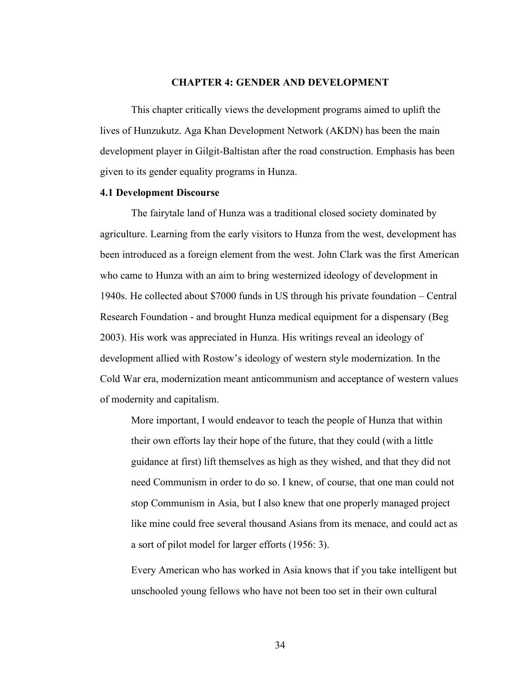#### **CHAPTER 4: GENDER AND DEVELOPMENT**

<span id="page-38-0"></span> This chapter critically views the development programs aimed to uplift the lives of Hunzukutz. Aga Khan Development Network (AKDN) has been the main development player in Gilgit-Baltistan after the road construction. Emphasis has been given to its gender equality programs in Hunza.

#### **4.1 Development Discourse**

 The fairytale land of Hunza was a traditional closed society dominated by agriculture. Learning from the early visitors to Hunza from the west, development has been introduced as a foreign element from the west. John Clark was the first American who came to Hunza with an aim to bring westernized ideology of development in 1940s. He collected about \$7000 funds in US through his private foundation – Central Research Foundation - and brought Hunza medical equipment for a dispensary (Beg 2003). His work was appreciated in Hunza. His writings reveal an ideology of development allied with Rostow's ideology of western style modernization. In the Cold War era, modernization meant anticommunism and acceptance of western values of modernity and capitalism.

 More important, I would endeavor to teach the people of Hunza that within their own efforts lay their hope of the future, that they could (with a little guidance at first) lift themselves as high as they wished, and that they did not need Communism in order to do so. I knew, of course, that one man could not stop Communism in Asia, but I also knew that one properly managed project like mine could free several thousand Asians from its menace, and could act as a sort of pilot model for larger efforts (1956: 3).

 Every American who has worked in Asia knows that if you take intelligent but unschooled young fellows who have not been too set in their own cultural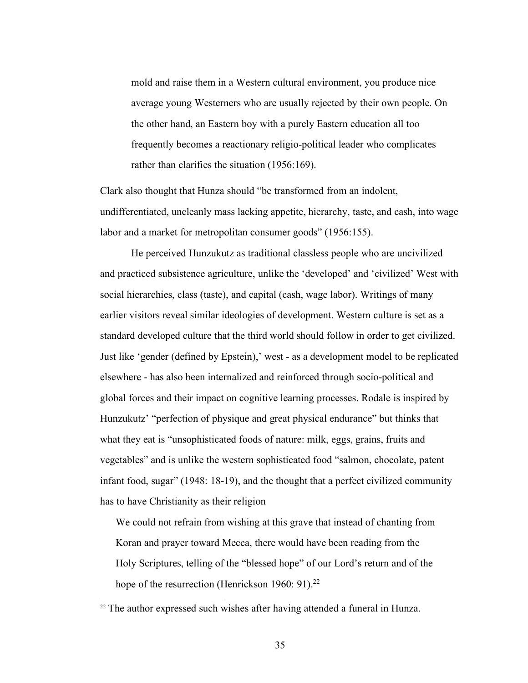mold and raise them in a Western cultural environment, you produce nice average young Westerners who are usually rejected by their own people. On the other hand, an Eastern boy with a purely Eastern education all too frequently becomes a reactionary religio-political leader who complicates rather than clarifies the situation (1956:169).

 Clark also thought that Hunza should "be transformed from an indolent, undifferentiated, uncleanly mass lacking appetite, hierarchy, taste, and cash, into wage labor and a market for metropolitan consumer goods" (1956:155).

 He perceived Hunzukutz as traditional classless people who are uncivilized and practiced subsistence agriculture, unlike the 'developed' and 'civilized' West with social hierarchies, class (taste), and capital (cash, wage labor). Writings of many earlier visitors reveal similar ideologies of development. Western culture is set as a standard developed culture that the third world should follow in order to get civilized. Just like 'gender (defined by Epstein),' west - as a development model to be replicated elsewhere - has also been internalized and reinforced through socio-political and global forces and their impact on cognitive learning processes. Rodale is inspired by Hunzukutz' "perfection of physique and great physical endurance" but thinks that what they eat is "unsophisticated foods of nature: milk, eggs, grains, fruits and vegetables" and is unlike the western sophisticated food "salmon, chocolate, patent infant food, sugar" (1948: 18-19), and the thought that a perfect civilized community has to have Christianity as their religion

 We could not refrain from wishing at this grave that instead of chanting from Koran and prayer toward Mecca, there would have been reading from the Holy Scriptures, telling of the "blessed hope" of our Lord's return and of the hope of the resurrection (Henrickson 1960: 91).<sup>22</sup>

<u>.</u>

 $22$  The author expressed such wishes after having attended a funeral in Hunza.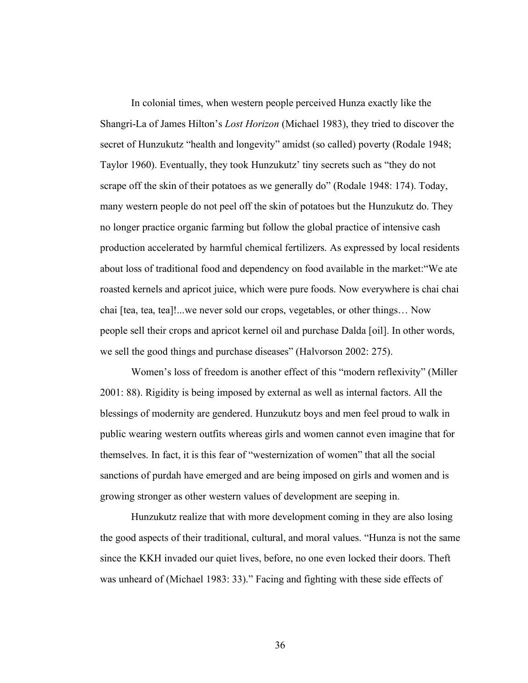In colonial times, when western people perceived Hunza exactly like the Shangri-La of James Hilton's *Lost Horizon* (Michael 1983), they tried to discover the secret of Hunzukutz "health and longevity" amidst (so called) poverty (Rodale 1948; Taylor 1960). Eventually, they took Hunzukutz' tiny secrets such as "they do not scrape off the skin of their potatoes as we generally do" (Rodale 1948: 174). Today, many western people do not peel off the skin of potatoes but the Hunzukutz do. They no longer practice organic farming but follow the global practice of intensive cash production accelerated by harmful chemical fertilizers. As expressed by local residents about loss of traditional food and dependency on food available in the market:"We ate roasted kernels and apricot juice, which were pure foods. Now everywhere is chai chai chai [tea, tea, tea]!...we never sold our crops, vegetables, or other things… Now people sell their crops and apricot kernel oil and purchase Dalda [oil]. In other words, we sell the good things and purchase diseases" (Halvorson 2002: 275).

 Women's loss of freedom is another effect of this "modern reflexivity" (Miller 2001: 88). Rigidity is being imposed by external as well as internal factors. All the blessings of modernity are gendered. Hunzukutz boys and men feel proud to walk in public wearing western outfits whereas girls and women cannot even imagine that for themselves. In fact, it is this fear of "westernization of women" that all the social sanctions of purdah have emerged and are being imposed on girls and women and is growing stronger as other western values of development are seeping in.

 Hunzukutz realize that with more development coming in they are also losing the good aspects of their traditional, cultural, and moral values. "Hunza is not the same since the KKH invaded our quiet lives, before, no one even locked their doors. Theft was unheard of (Michael 1983: 33)." Facing and fighting with these side effects of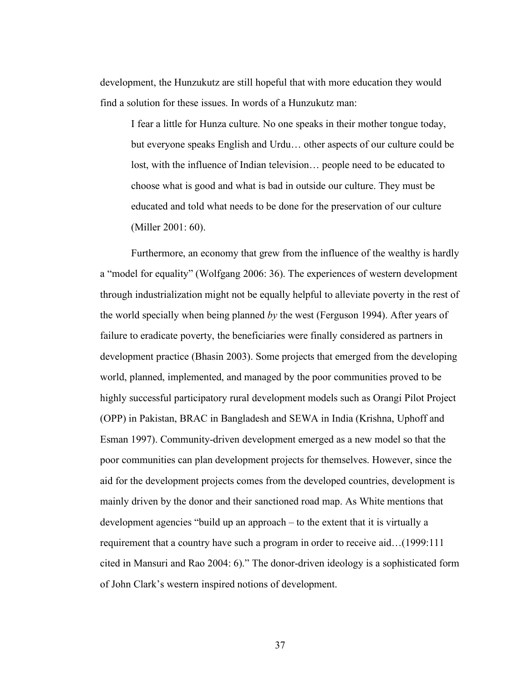development, the Hunzukutz are still hopeful that with more education they would find a solution for these issues. In words of a Hunzukutz man:

 I fear a little for Hunza culture. No one speaks in their mother tongue today, but everyone speaks English and Urdu… other aspects of our culture could be lost, with the influence of Indian television… people need to be educated to choose what is good and what is bad in outside our culture. They must be educated and told what needs to be done for the preservation of our culture (Miller 2001: 60).

 Furthermore, an economy that grew from the influence of the wealthy is hardly a "model for equality" (Wolfgang 2006: 36). The experiences of western development through industrialization might not be equally helpful to alleviate poverty in the rest of the world specially when being planned *by* the west (Ferguson 1994). After years of failure to eradicate poverty, the beneficiaries were finally considered as partners in development practice (Bhasin 2003). Some projects that emerged from the developing world, planned, implemented, and managed by the poor communities proved to be highly successful participatory rural development models such as Orangi Pilot Project (OPP) in Pakistan, BRAC in Bangladesh and SEWA in India (Krishna, Uphoff and Esman 1997). Community-driven development emerged as a new model so that the poor communities can plan development projects for themselves. However, since the aid for the development projects comes from the developed countries, development is mainly driven by the donor and their sanctioned road map. As White mentions that development agencies "build up an approach – to the extent that it is virtually a requirement that a country have such a program in order to receive aid…(1999:111 cited in Mansuri and Rao 2004: 6)." The donor-driven ideology is a sophisticated form of John Clark's western inspired notions of development.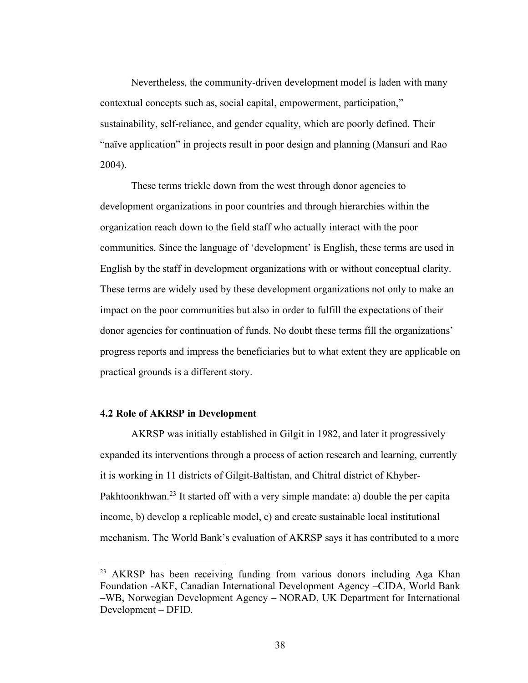<span id="page-42-0"></span> Nevertheless, the community-driven development model is laden with many contextual concepts such as, social capital, empowerment, participation," sustainability, self-reliance, and gender equality, which are poorly defined. Their "naïve application" in projects result in poor design and planning (Mansuri and Rao 2004).

 These terms trickle down from the west through donor agencies to development organizations in poor countries and through hierarchies within the organization reach down to the field staff who actually interact with the poor communities. Since the language of 'development' is English, these terms are used in English by the staff in development organizations with or without conceptual clarity. These terms are widely used by these development organizations not only to make an impact on the poor communities but also in order to fulfill the expectations of their donor agencies for continuation of funds. No doubt these terms fill the organizations' progress reports and impress the beneficiaries but to what extent they are applicable on practical grounds is a different story.

#### **4.2 Role of AKRSP in Development**

<u>.</u>

 AKRSP was initially established in Gilgit in 1982, and later it progressively expanded its interventions through a process of action research and learning, currently it is working in 11 districts of Gilgit-Baltistan, and Chitral district of Khyber-Pakhtoonkhwan.<sup>23</sup> It started off with a very simple mandate: a) double the per capita income, b) develop a replicable model, c) and create sustainable local institutional mechanism. The World Bank's evaluation of AKRSP says it has contributed to a more

<sup>&</sup>lt;sup>23</sup> AKRSP has been receiving funding from various donors including Aga Khan Foundation -AKF, Canadian International Development Agency –CIDA, World Bank –WB, Norwegian Development Agency – NORAD, UK Department for International Development – DFID.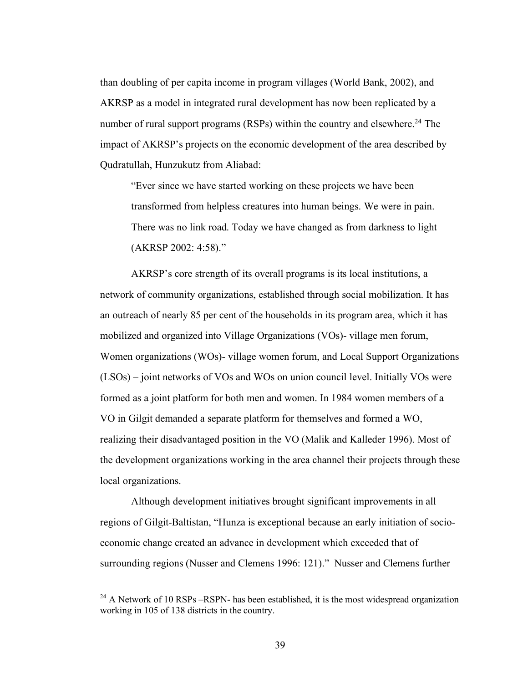than doubling of per capita income in program villages (World Bank, 2002), and AKRSP as a model in integrated rural development has now been replicated by a number of rural support programs (RSPs) within the country and elsewhere.<sup>24</sup> The impact of AKRSP's projects on the economic development of the area described by Qudratullah, Hunzukutz from Aliabad:

 "Ever since we have started working on these projects we have been transformed from helpless creatures into human beings. We were in pain. There was no link road. Today we have changed as from darkness to light (AKRSP 2002: 4:58)."

 AKRSP's core strength of its overall programs is its local institutions, a network of community organizations, established through social mobilization. It has an outreach of nearly 85 per cent of the households in its program area, which it has mobilized and organized into Village Organizations (VOs)- village men forum, Women organizations (WOs)- village women forum, and Local Support Organizations (LSOs) – joint networks of VOs and WOs on union council level. Initially VOs were formed as a joint platform for both men and women. In 1984 women members of a VO in Gilgit demanded a separate platform for themselves and formed a WO, realizing their disadvantaged position in the VO (Malik and Kalleder 1996). Most of the development organizations working in the area channel their projects through these local organizations. local organizations. Although development initiatives brought significant improvements in all

 regions of Gilgit-Baltistan, "Hunza is exceptional because an early initiation of socio- economic change created an advance in development which exceeded that of surrounding regions (Nusser and Clemens 1996: 121)." Nusser and Clemens further

 $^{24}$  A Network of 10 RSPs –RSPN- has been established, it is the most widespread organization working in 105 of 138 districts in the country.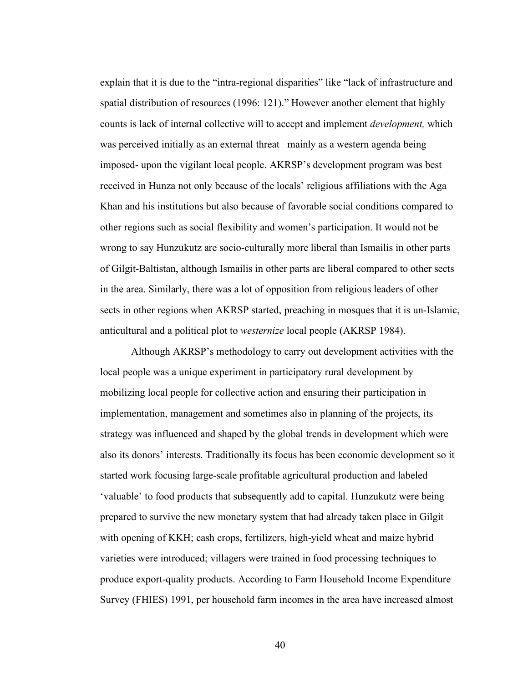explain that it is due to the "intra-regional disparities" like "lack of infrastructure and spatial distribution of resources (1996: 121)." However another element that highly counts is lack of internal collective will to accept and implement *development,* which was perceived initially as an external threat –mainly as a western agenda being imposed- upon the vigilant local people. AKRSP's development program was best received in Hunza not only because of the locals' religious affiliations with the Aga Khan and his institutions but also because of favorable social conditions compared to other regions such as social flexibility and women's participation. It would not be wrong to say Hunzukutz are socio-culturally more liberal than Ismailis in other parts of Gilgit-Baltistan, although Ismailis in other parts are liberal compared to other sects in the area. Similarly, there was a lot of opposition from religious leaders of other sects in other regions when AKRSP started, preaching in mosques that it is un-Islamic, anticultural and a political plot to *westernize* local people (AKRSP 1984).

 Although AKRSP's methodology to carry out development activities with the local people was a unique experiment in participatory rural development by mobilizing local people for collective action and ensuring their participation in implementation, management and sometimes also in planning of the projects, its strategy was influenced and shaped by the global trends in development which were also its donors' interests. Traditionally its focus has been economic development so it started work focusing large-scale profitable agricultural production and labeled 'valuable' to food products that subsequently add to capital. Hunzukutz were being prepared to survive the new monetary system that had already taken place in Gilgit with opening of KKH; cash crops, fertilizers, high-yield wheat and maize hybrid varieties were introduced; villagers were trained in food processing techniques to produce export-quality products. According to Farm Household Income Expenditure Survey (FHIES) 1991, per household farm incomes in the area have increased almost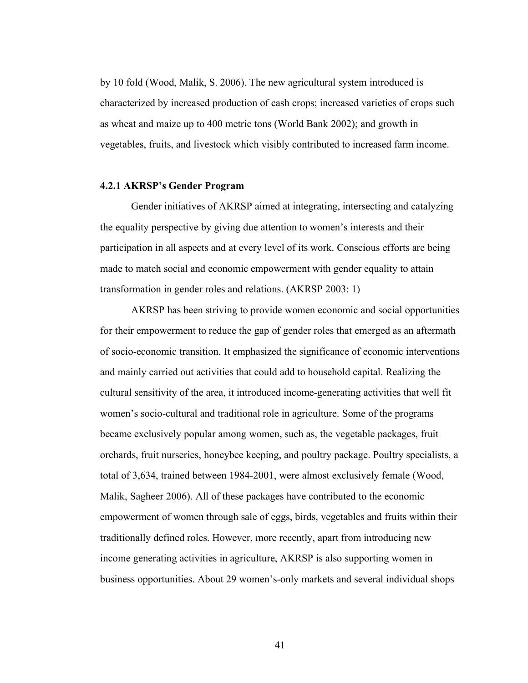<span id="page-45-0"></span> by 10 fold (Wood, Malik, S. 2006). The new agricultural system introduced is characterized by increased production of cash crops; increased varieties of crops such as wheat and maize up to 400 metric tons (World Bank 2002); and growth in vegetables, fruits, and livestock which visibly contributed to increased farm income.

#### **4.2.1 AKRSP's Gender Program**

 Gender initiatives of AKRSP aimed at integrating, intersecting and catalyzing the equality perspective by giving due attention to women's interests and their participation in all aspects and at every level of its work. Conscious efforts are being made to match social and economic empowerment with gender equality to attain transformation in gender roles and relations. (AKRSP 2003: 1)

 AKRSP has been striving to provide women economic and social opportunities for their empowerment to reduce the gap of gender roles that emerged as an aftermath of socio-economic transition. It emphasized the significance of economic interventions and mainly carried out activities that could add to household capital. Realizing the cultural sensitivity of the area, it introduced income-generating activities that well fit women's socio-cultural and traditional role in agriculture. Some of the programs became exclusively popular among women, such as, the vegetable packages, fruit orchards, fruit nurseries, honeybee keeping, and poultry package. Poultry specialists, a total of 3,634, trained between 1984-2001, were almost exclusively female (Wood, Malik, Sagheer 2006). All of these packages have contributed to the economic empowerment of women through sale of eggs, birds, vegetables and fruits within their traditionally defined roles. However, more recently, apart from introducing new income generating activities in agriculture, AKRSP is also supporting women in business opportunities. About 29 women's-only markets and several individual shops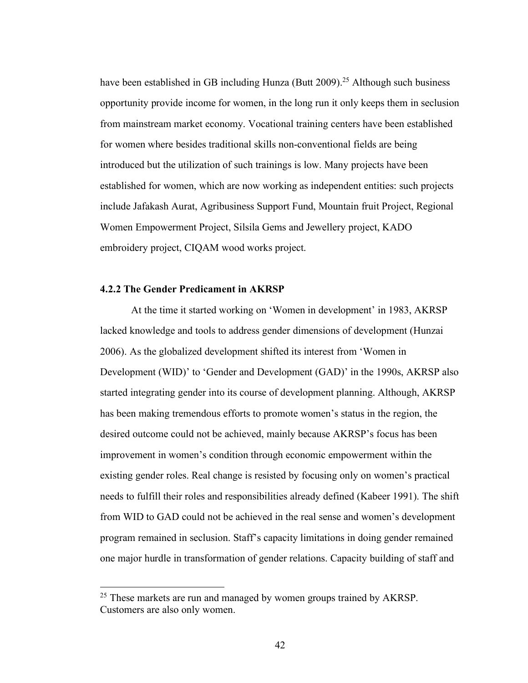<span id="page-46-0"></span>have been established in GB including Hunza (Butt 2009).<sup>25</sup> Although such business opportunity provide income for women, in the long run it only keeps them in seclusion from mainstream market economy. Vocational training centers have been established for women where besides traditional skills non-conventional fields are being introduced but the utilization of such trainings is low. Many projects have been established for women, which are now working as independent entities: such projects include Jafakash Aurat, Agribusiness Support Fund, Mountain fruit Project, Regional Women Empowerment Project, Silsila Gems and Jewellery project, KADO embroidery project, CIQAM wood works project.

#### **4.2.2 The Gender Predicament in AKRSP**

1

 At the time it started working on 'Women in development' in 1983, AKRSP lacked knowledge and tools to address gender dimensions of development (Hunzai 2006). As the globalized development shifted its interest from 'Women in Development (WID)' to 'Gender and Development (GAD)' in the 1990s, AKRSP also started integrating gender into its course of development planning. Although, AKRSP has been making tremendous efforts to promote women's status in the region, the desired outcome could not be achieved, mainly because AKRSP's focus has been improvement in women's condition through economic empowerment within the existing gender roles. Real change is resisted by focusing only on women's practical needs to fulfill their roles and responsibilities already defined (Kabeer 1991). The shift from WID to GAD could not be achieved in the real sense and women's development program remained in seclusion. Staff's capacity limitations in doing gender remained one major hurdle in transformation of gender relations. Capacity building of staff and

<sup>&</sup>lt;sup>25</sup> These markets are run and managed by women groups trained by AKRSP. Customers are also only women.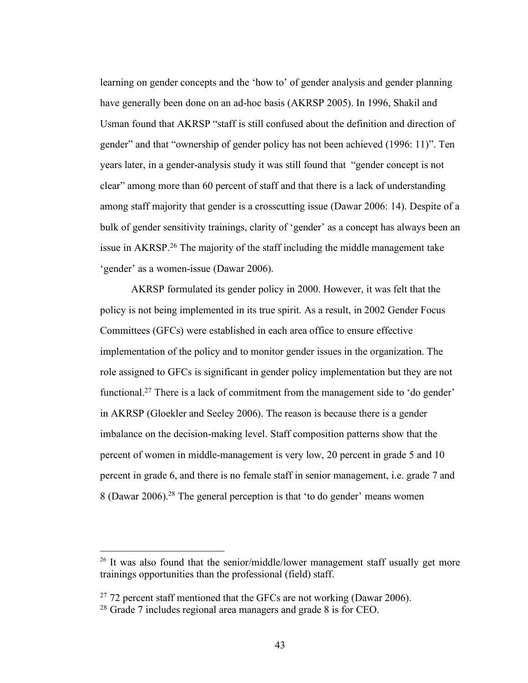learning on gender concepts and the 'how to' of gender analysis and gender planning have generally been done on an ad-hoc basis (AKRSP 2005). In 1996, Shakil and Usman found that AKRSP "staff is still confused about the definition and direction of gender" and that "ownership of gender policy has not been achieved (1996: 11)". Ten years later, in a gender-analysis study it was still found that "gender concept is not clear" among more than 60 percent of staff and that there is a lack of understanding among staff majority that gender is a crosscutting issue (Dawar 2006: 14). Despite of a bulk of gender sensitivity trainings, clarity of 'gender' as a concept has always been an issue in AKRSP.<sup>26</sup> The majority of the staff including the middle management take 'gender' as a women-issue (Dawar 2006).

 AKRSP formulated its gender policy in 2000. However, it was felt that the policy is not being implemented in its true spirit. As a result, in 2002 Gender Focus Committees (GFCs) were established in each area office to ensure effective implementation of the policy and to monitor gender issues in the organization. The role assigned to GFCs is significant in gender policy implementation but they are not functional.<sup>27</sup> There is a lack of commitment from the management side to 'do gender' in AKRSP (Gloekler and Seeley 2006). The reason is because there is a gender imbalance on the decision-making level. Staff composition patterns show that the percent of women in middle-management is very low, 20 percent in grade 5 and 10 percent in grade 6, and there is no female staff in senior management, i.e. grade 7 and 8 (Dawar 2006).<sup>28</sup> The general perception is that 'to do gender' means women

<u>.</u>

 $26$  It was also found that the senior/middle/lower management staff usually get more trainings opportunities than the professional (field) staff.

 $27$  72 percent staff mentioned that the GFCs are not working (Dawar 2006).

 $28$  Grade 7 includes regional area managers and grade 8 is for CEO.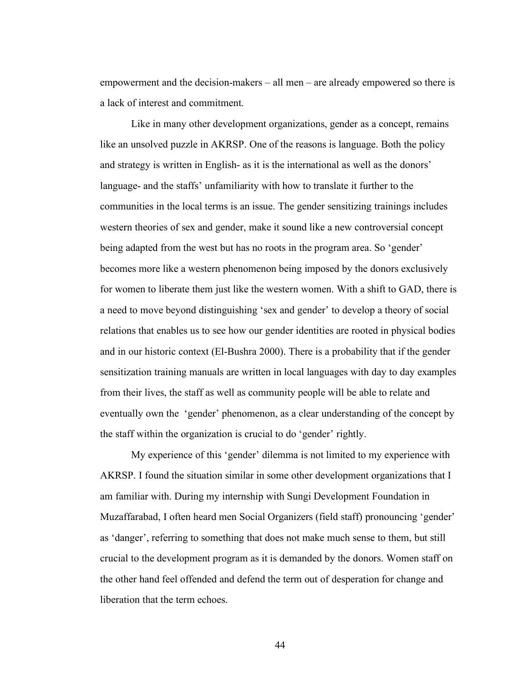empowerment and the decision-makers – all men – are already empowered so there is a lack of interest and commitment.

 Like in many other development organizations, gender as a concept, remains like an unsolved puzzle in AKRSP. One of the reasons is language. Both the policy and strategy is written in English- as it is the international as well as the donors' language- and the staffs' unfamiliarity with how to translate it further to the communities in the local terms is an issue. The gender sensitizing trainings includes western theories of sex and gender, make it sound like a new controversial concept being adapted from the west but has no roots in the program area. So 'gender' becomes more like a western phenomenon being imposed by the donors exclusively for women to liberate them just like the western women. With a shift to GAD, there is a need to move beyond distinguishing 'sex and gender' to develop a theory of social relations that enables us to see how our gender identities are rooted in physical bodies and in our historic context (El-Bushra 2000). There is a probability that if the gender sensitization training manuals are written in local languages with day to day examples from their lives, the staff as well as community people will be able to relate and eventually own the 'gender' phenomenon, as a clear understanding of the concept by the staff within the organization is crucial to do 'gender' rightly.

 My experience of this 'gender' dilemma is not limited to my experience with AKRSP. I found the situation similar in some other development organizations that I am familiar with. During my internship with Sungi Development Foundation in Muzaffarabad, I often heard men Social Organizers (field staff) pronouncing 'gender' as 'danger', referring to something that does not make much sense to them, but still crucial to the development program as it is demanded by the donors. Women staff on the other hand feel offended and defend the term out of desperation for change and liberation that the term echoes.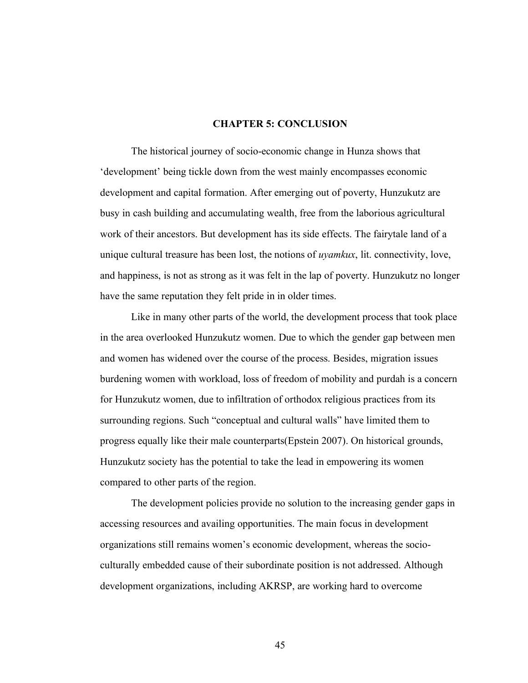#### **CHAPTER 5: CONCLUSION**

<span id="page-49-0"></span> The historical journey of socio-economic change in Hunza shows that 'development' being tickle down from the west mainly encompasses economic development and capital formation. After emerging out of poverty, Hunzukutz are busy in cash building and accumulating wealth, free from the laborious agricultural work of their ancestors. But development has its side effects. The fairytale land of a unique cultural treasure has been lost, the notions of *uyamkux*, lit. connectivity, love, and happiness, is not as strong as it was felt in the lap of poverty. Hunzukutz no longer have the same reputation they felt pride in in older times.

 Like in many other parts of the world, the development process that took place in the area overlooked Hunzukutz women. Due to which the gender gap between men and women has widened over the course of the process. Besides, migration issues burdening women with workload, loss of freedom of mobility and purdah is a concern for Hunzukutz women, due to infiltration of orthodox religious practices from its surrounding regions. Such "conceptual and cultural walls" have limited them to progress equally like their male counterparts(Epstein 2007). On historical grounds, Hunzukutz society has the potential to take the lead in empowering its women compared to other parts of the region.

 The development policies provide no solution to the increasing gender gaps in accessing resources and availing opportunities. The main focus in development organizations still remains women's economic development, whereas the socio- culturally embedded cause of their subordinate position is not addressed. Although development organizations, including AKRSP, are working hard to overcome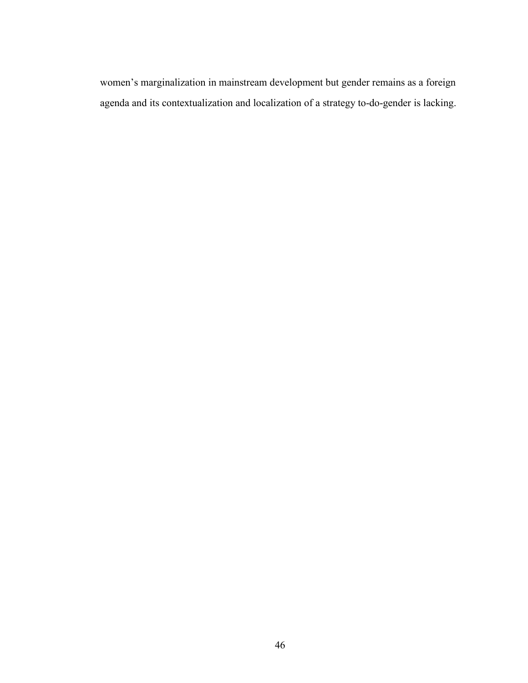women's marginalization in mainstream development but gender remains as a foreign agenda and its contextualization and localization of a strategy to-do-gender is lacking.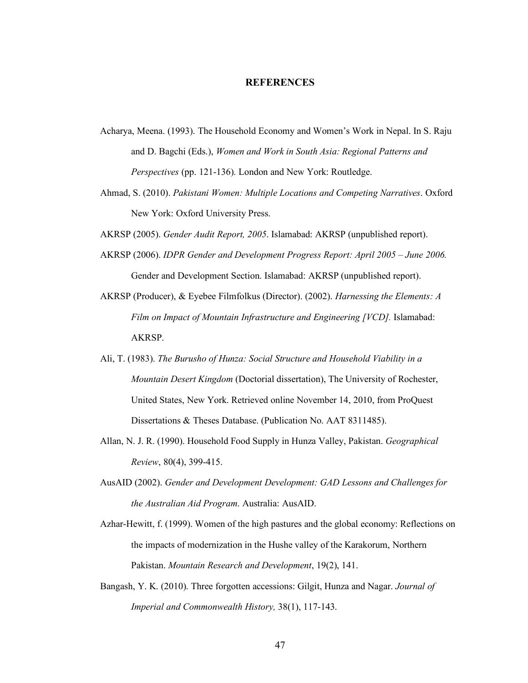#### **REFERENCES**

- <span id="page-51-0"></span> Acharya, Meena. (1993). The Household Economy and Women's Work in Nepal. In S. Raju and D. Bagchi (Eds.), *Women and Work in South Asia: Regional Patterns and Perspectives* (pp. 121-136). London and New York: Routledge.
- Ahmad, S. (2010). *Pakistani Women: Multiple Locations and Competing Narratives*. Oxford New York: Oxford University Press.
- AKRSP (2005). *Gender Audit Report, 2005*. Islamabad: AKRSP (unpublished report).
- AKRSP (2006). *IDPR Gender and Development Progress Report: April 2005 June 2006.*  Gender and Development Section. Islamabad: AKRSP (unpublished report).
- AKRSP (Producer), & Eyebee Filmfolkus (Director). (2002). *Harnessing the Elements: A Film on Impact of Mountain Infrastructure and Engineering [VCD].* Islamabad: AKRSP.
- Ali, T. (1983). *The Burusho of Hunza: Social Structure and Household Viability in a Mountain Desert Kingdom* (Doctorial dissertation), The University of Rochester, United States, New York. Retrieved online November 14, 2010, from ProQuest Dissertations & Theses Database. (Publication No. AAT 8311485).
- Allan, N. J. R. (1990). Household Food Supply in Hunza Valley, Pakistan. *Geographical Review*, 80(4), 399-415.
- AusAID (2002). *Gender and Development Development: GAD Lessons and Challenges for the Australian Aid Program*. Australia: AusAID.
- Azhar-Hewitt, f. (1999). Women of the high pastures and the global economy: Reflections on the impacts of modernization in the Hushe valley of the Karakorum, Northern Pakistan. *Mountain Research and Development*, 19(2), 141.
- Bangash, Y. K. (2010). Three forgotten accessions: Gilgit, Hunza and Nagar. *Journal of Imperial and Commonwealth History,* 38(1), 117-143.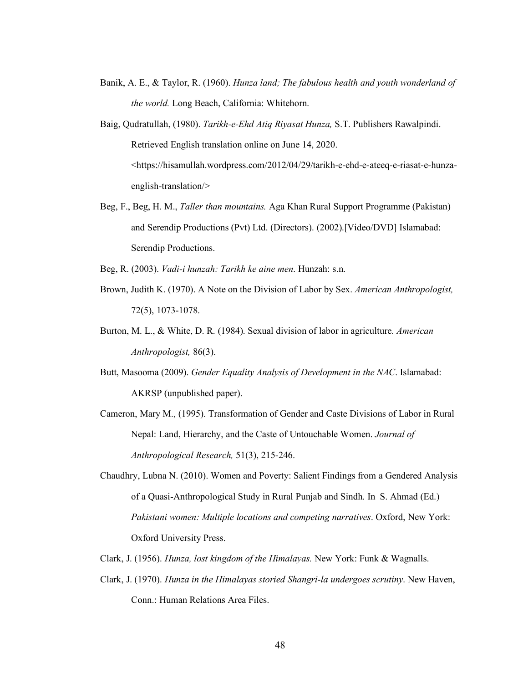- Banik, A. E., & Taylor, R. (1960). *Hunza land; The fabulous health and youth wonderland of the world.* Long Beach, California: Whitehorn.
- Baig, Qudratullah, (1980). *Tarikh-e-Ehd Atiq Riyasat Hunza,* S.T. Publishers Rawalpindi. Retrieved English translation online on June 14, 2020. [<https://hisamullah.wordpress.com/2012/04/29/tarikh-e-ehd-e-ateeq-e-riasat-e-hunza](https://hisamullah.wordpress.com/2012/04/29/tarikh-e-ehd-e-ateeq-e-riasat-e-hunza)english-translation/>
- Beg, F., Beg, H. M., *Taller than mountains.* Aga Khan Rural Support Programme (Pakistan) and Serendip Productions (Pvt) Ltd. (Directors). (2002).[Video/DVD] Islamabad: Serendip Productions.

Serendip Productions. Beg, R. (2003). *Vadi-i hunzah: Tarikh ke aine men*. Hunzah: s.n.

- Brown, Judith K. (1970). A Note on the Division of Labor by Sex. *American Anthropologist,*  72(5), 1073-1078.
- Burton, M. L., & White, D. R. (1984). Sexual division of labor in agriculture. *American*  Anthropologist, 86(3). *Anthropologist,* 86(3). Butt, Masooma (2009). *Gender Equality Analysis of Development in the NAC*. Islamabad:
- AKRSP (unpublished paper). AKRSP (unpublished paper). Cameron, Mary M., (1995). Transformation of Gender and Caste Divisions of Labor in Rural
- Nepal: Land, Hierarchy, and the Caste of Untouchable Women. *Journal of Anthropological Research,* 51(3), 215-246.
- Chaudhry, Lubna N. (2010). Women and Poverty: Salient Findings from a Gendered Analysis of a Quasi-Anthropological Study in Rural Punjab and Sindh. In S. Ahmad (Ed.)  *Pakistani women: Multiple locations and competing narratives*. Oxford, New York: Oxford University Press.
- Oxford University Press. Clark, J. (1956). *Hunza, lost kingdom of the Himalayas.* New York: Funk & Wagnalls.
- Clark, J. (1970). *Hunza in the Himalayas storied Shangri-la undergoes scrutiny*. New Haven, Conn.: Human Relations Area Files.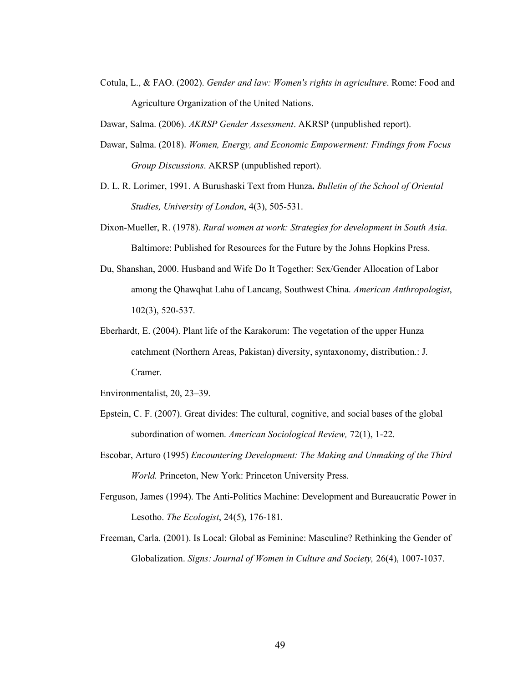Cotula, L., & FAO. (2002). *Gender and law: Women's rights in agriculture*. Rome: Food and Agriculture Organization of the United Nations.

Dawar, Salma. (2006). *AKRSP Gender Assessment*. AKRSP (unpublished report).

- Dawar, Salma. (2018). *Women, Energy, and Economic Empowerment: Findings from Focus Group Discussions*. AKRSP (unpublished report).
- D. L. R. Lorimer, 1991. A Burushaski Text from Hunza**.** *Bulletin of the School of Oriental Studies, University of London*, 4(3), 505-531.
- Dixon-Mueller, R. (1978). *Rural women at work: Strategies for development in South Asia*. Baltimore: Published for Resources for the Future by the Johns Hopkins Press.
- Du, Shanshan, 2000. Husband and Wife Do It Together: Sex/Gender Allocation of Labor among the Qhawqhat Lahu of Lancang, Southwest China. *American Anthropologist*, 102(3), 520-537.
- Eberhardt, E. (2004). Plant life of the Karakorum: The vegetation of the upper Hunza catchment (Northern Areas, Pakistan) diversity, syntaxonomy, distribution.: J. Cramer.
- Environmentalist, 20, 23–39.
- Epstein, C. F. (2007). Great divides: The cultural, cognitive, and social bases of the global subordination of women. *American Sociological Review,* 72(1), 1-22.
- Escobar, Arturo (1995) *Encountering Development: The Making and Unmaking of the Third World.* Princeton, New York: Princeton University Press.
- Ferguson, James (1994). The Anti-Politics Machine: Development and Bureaucratic Power in Lesotho. *The Ecologist*, 24(5), 176-181.
- Freeman, Carla. (2001). Is Local: Global as Feminine: Masculine? Rethinking the Gender of  Globalization. *Signs: Journal of Women in Culture and Society,* 26(4), 1007-1037.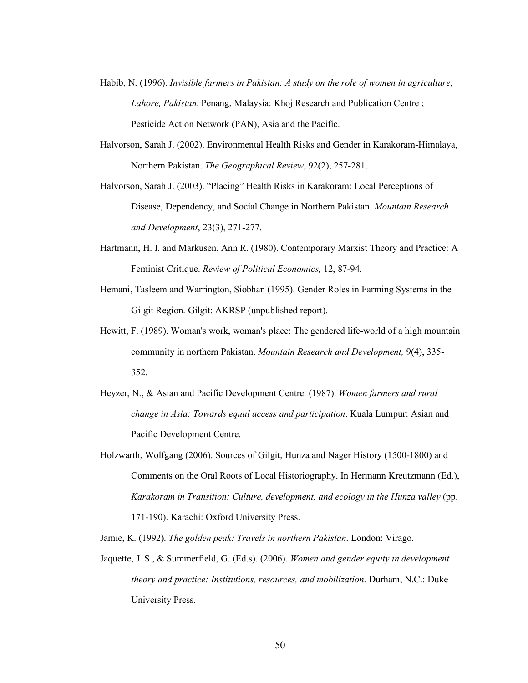- Habib, N. (1996). *Invisible farmers in Pakistan: A study on the role of women in agriculture, Lahore, Pakistan*. Penang, Malaysia: Khoj Research and Publication Centre ; Pesticide Action Network (PAN), Asia and the Pacific.
- Halvorson, Sarah J. (2002). Environmental Health Risks and Gender in Karakoram-Himalaya, Northern Pakistan. *The Geographical Review*, 92(2), 257-281.
- Halvorson, Sarah J. (2003). "Placing" Health Risks in Karakoram: Local Perceptions of Disease, Dependency, and Social Change in Northern Pakistan. *Mountain Research and Development*, 23(3), 271-277.
- Hartmann, H. I. and Markusen, Ann R. (1980). Contemporary Marxist Theory and Practice: A Feminist Critique. *Review of Political Economics,* 12, 87-94.
- Hemani, Tasleem and Warrington, Siobhan (1995). Gender Roles in Farming Systems in the Gilgit Region. Gilgit: AKRSP (unpublished report).
- Hewitt, F. (1989). Woman's work, woman's place: The gendered life-world of a high mountain community in northern Pakistan. *Mountain Research and Development,* 9(4), 335- 352.
- 352. Heyzer, N., & Asian and Pacific Development Centre. (1987). *Women farmers and rural change in Asia: Towards equal access and participation*. Kuala Lumpur: Asian and Pacific Development Centre.
- Holzwarth, Wolfgang (2006). Sources of Gilgit, Hunza and Nager History (1500-1800) and Comments on the Oral Roots of Local Historiography. In Hermann Kreutzmann (Ed.), Karakoram in Transition: Culture, development, and ecology in the Hunza valley (pp. 171-190). Karachi: Oxford University Press.
- Jamie, K. (1992). *The golden peak: Travels in northern Pakistan*. London: Virago.
- Jaquette, J. S., & Summerfield, G. (Ed.s). (2006). *Women and gender equity in development theory and practice: Institutions, resources, and mobilization*. Durham, N.C.: Duke University Press. University Press.<br>
50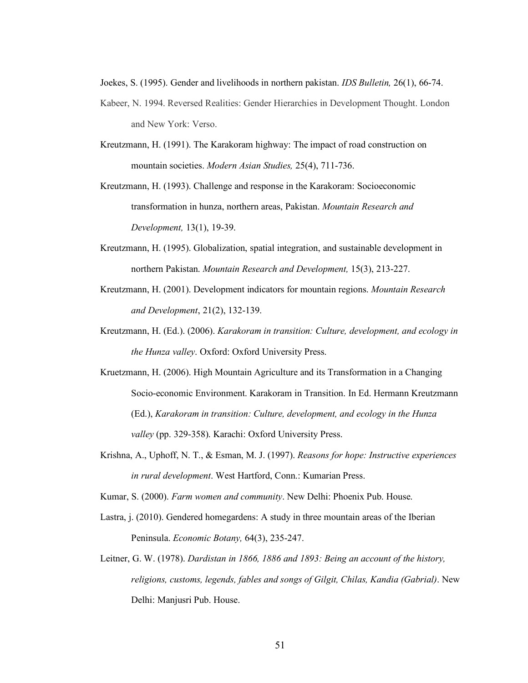Joekes, S. (1995). Gender and livelihoods in northern pakistan. *IDS Bulletin,* 26(1), 66-74.

- Kabeer, N. 1994. Reversed Realities: Gender Hierarchies in Development Thought. London and New York: Verso.
- Kreutzmann, H. (1991). The Karakoram highway: The impact of road construction on mountain societies. *Modern Asian Studies,* 25(4), 711-736.
- Kreutzmann, H. (1993). Challenge and response in the Karakoram: Socioeconomic transformation in hunza, northern areas, Pakistan. *Mountain Research and Development,* 13(1), 19-39.
- Kreutzmann, H. (1995). Globalization, spatial integration, and sustainable development in northern Pakistan. *Mountain Research and Development,* 15(3), 213-227.
- Kreutzmann, H. (2001). Development indicators for mountain regions. *Mountain Research and Development*, 21(2), 132-139.
- Kreutzmann, H. (Ed.). (2006). *Karakoram in transition: Culture, development, and ecology in the Hunza valley*. Oxford: Oxford University Press.
- Kruetzmann, H. (2006). High Mountain Agriculture and its Transformation in a Changing Socio-economic Environment. Karakoram in Transition. In Ed. Hermann Kreutzmann  (Ed.), *Karakoram in transition: Culture, development, and ecology in the Hunza valley* (pp. 329-358). Karachi: Oxford University Press.
- Krishna, A., Uphoff, N. T., & Esman, M. J. (1997). *Reasons for hope: Instructive experiences in rural development*. West Hartford, Conn.: Kumarian Press.
- Kumar, S. (2000). *Farm women and community*. New Delhi: Phoenix Pub. House.
- Lastra, j. (2010). Gendered homegardens: A study in three mountain areas of the Iberian  Peninsula. *Economic Botany,* 64(3), 235-247.
- Leitner, G. W. (1978). *Dardistan in 1866, 1886 and 1893: Being an account of the history, religions, customs, legends, fables and songs of Gilgit, Chilas, Kandia (Gabrial)*. New Delhi: Manjusri Pub. House.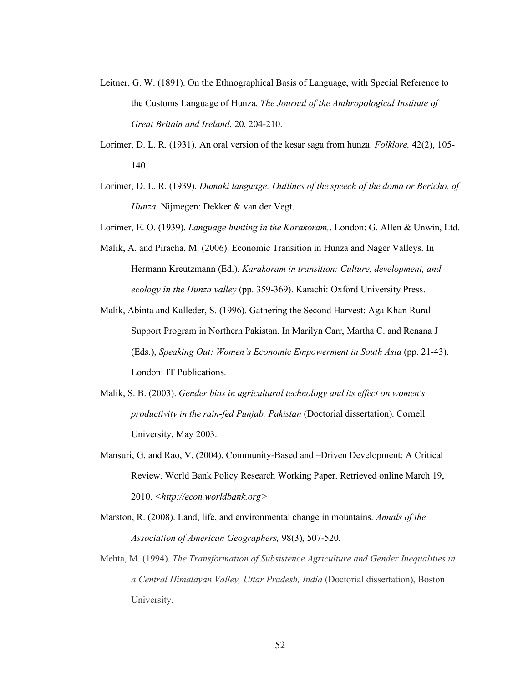- Leitner, G. W. (1891). On the Ethnographical Basis of Language, with Special Reference to the Customs Language of Hunza. *The Journal of the Anthropological Institute of Great Britain and Ireland*, 20, 204-210.
- Lorimer, D. L. R. (1931). An oral version of the kesar saga from hunza. *Folklore,* 42(2), 105- 140. 140. Lorimer, D. L. R. (1939). *Dumaki language: Outlines of the speech of the doma or Bericho, of*
- *Hunza.* Nijmegen: Dekker & van der Vegt.
- Lorimer, E. O. (1939). *Language hunting in the Karakoram,*. London: G. Allen & Unwin, Ltd.
- Malik, A. and Piracha, M. (2006). Economic Transition in Hunza and Nager Valleys. In Hermann Kreutzmann (Ed.), *Karakoram in transition: Culture, development, and ecology in the Hunza valley* (pp. 359-369). Karachi: Oxford University Press.
- Malik, Abinta and Kalleder, S. (1996). Gathering the Second Harvest: Aga Khan Rural Support Program in Northern Pakistan. In Marilyn Carr, Martha C. and Renana J  (Eds.), *Speaking Out: Women's Economic Empowerment in South Asia* (pp. 21-43). London: IT Publications.
- Malik, S. B. (2003). *Gender bias in agricultural technology and its effect on women's productivity in the rain-fed Punjab, Pakistan* (Doctorial dissertation). Cornell University, May 2003.
- Mansuri, G. and Rao, V. (2004). Community-Based and –Driven Development: A Critical Review. World Bank Policy Research Working Paper. Retrieved online March 19, 2010. *[<http://econ.worldbank.org>](http://econ.worldbank.org)*
- Marston, R. (2008). Land, life, and environmental change in mountains. *Annals of the Association of American Geographers,* 98(3), 507-520.
- Mehta, M. (1994). *The Transformation of Subsistence Agriculture and Gender Inequalities in a Central Himalayan Valley, Uttar Pradesh, India* (Doctorial dissertation), Boston University.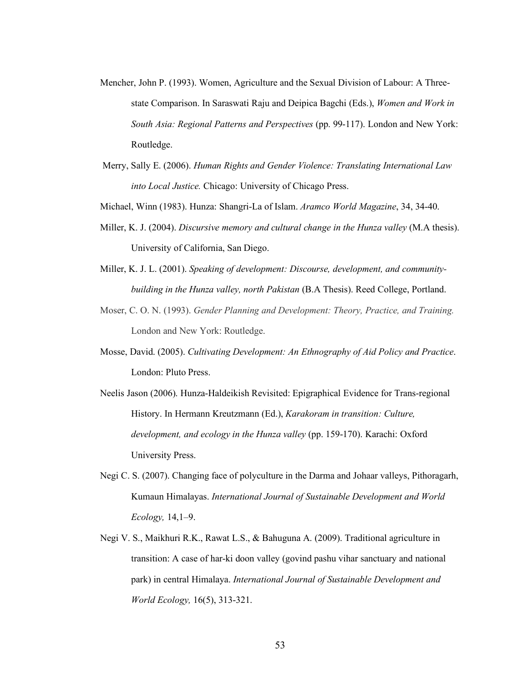- Mencher, John P. (1993). Women, Agriculture and the Sexual Division of Labour: A Three- state Comparison. In Saraswati Raju and Deipica Bagchi (Eds.), *Women and Work in South Asia: Regional Patterns and Perspectives* (pp. 99-117). London and New York: Routledge.
- Merry, Sally E. (2006). *Human Rights and Gender Violence: Translating International Law into Local Justice.* Chicago: University of Chicago Press.
- Michael, Winn (1983). Hunza: Shangri-La of Islam. *Aramco World Magazine*, 34, 34-40.
- Miller, K. J. (2004). *Discursive memory and cultural change in the Hunza valley* (M.A thesis). University of California, San Diego.
- Miller, K. J. L. (2001). *Speaking of development: Discourse, development, and community*building in the Hunza valley, north Pakistan (B.A Thesis). Reed College, Portland.
- Moser, C. O. N. (1993). *Gender Planning and Development: Theory, Practice, and Training.*  London and New York: Routledge.
- Mosse, David. (2005). *Cultivating Development: An Ethnography of Aid Policy and Practice*. London: Pluto Press.
- Neelis Jason (2006). Hunza-Haldeikish Revisited: Epigraphical Evidence for Trans-regional History. In Hermann Kreutzmann (Ed.), *Karakoram in transition: Culture, development, and ecology in the Hunza valley* (pp. 159-170). Karachi: Oxford University Press.
- Negi C. S. (2007). Changing face of polyculture in the Darma and Johaar valleys, Pithoragarh,  Kumaun Himalayas. *International Journal of Sustainable Development and World Ecology,* 14,1–9.
- Negi V. S., Maikhuri R.K., Rawat L.S., & Bahuguna A. (2009). Traditional agriculture in transition: A case of har-ki doon valley (govind pashu vihar sanctuary and national park) in central Himalaya. *International Journal of Sustainable Development and World Ecology,* 16(5), 313-321.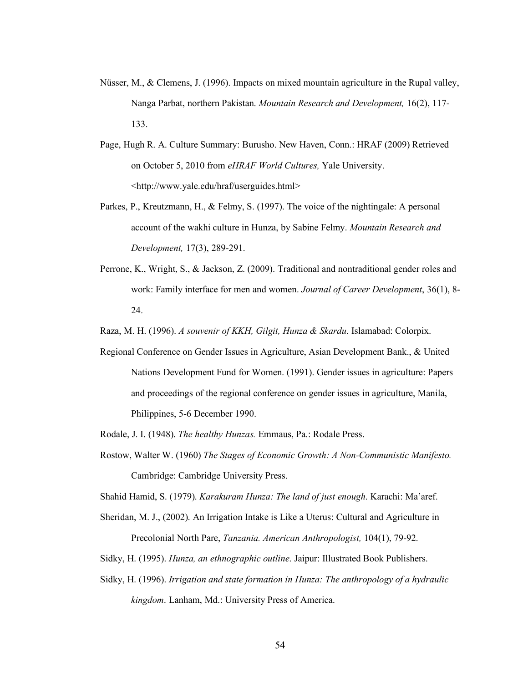- Nüsser, M., & Clemens, J. (1996). Impacts on mixed mountain agriculture in the Rupal valley, Nanga Parbat, northern Pakistan. *Mountain Research and Development,* 16(2), 117-  $133.$ 133. Page, Hugh R. A. Culture Summary: Burusho. New Haven, Conn.: HRAF (2009) Retrieved
- on October 5, 2010 from *eHRAF World Cultures,* Yale University. [<http://www.yale.edu/hraf/userguides.html](http://www.yale.edu/hraf/userguides.html)>
- Parkes, P., Kreutzmann, H., & Felmy, S. (1997). The voice of the nightingale: A personal account of the wakhi culture in Hunza, by Sabine Felmy. *Mountain Research and Development,* 17(3), 289-291.
- Perrone, K., Wright, S., & Jackson, Z. (2009). Traditional and nontraditional gender roles and work: Family interface for men and women. *Journal of Career Development*, 36(1), 8- 24.

24. Raza, M. H. (1996). *A souvenir of KKH, Gilgit, Hunza & Skardu*. Islamabad: Colorpix.

- Regional Conference on Gender Issues in Agriculture, Asian Development Bank., & United Nations Development Fund for Women. (1991). Gender issues in agriculture: Papers and proceedings of the regional conference on gender issues in agriculture, Manila, Philippines, 5-6 December 1990.
- Rodale, J. I. (1948). *The healthy Hunzas.* Emmaus, Pa.: Rodale Press.
- Rostow, Walter W. (1960) *The Stages of Economic Growth: A Non-Communistic Manifesto.*  Cambridge: Cambridge University Press.

Shahid Hamid, S. (1979). *Karakuram Hunza: The land of just enough*. Karachi: Ma'aref.

- Sheridan, M. J., (2002). An Irrigation Intake is Like a Uterus: Cultural and Agriculture in Precolonial North Pare, *Tanzania. American Anthropologist,* 104(1), 79-92.
- Sidky, H. (1995). *Hunza, an ethnographic outline*. Jaipur: Illustrated Book Publishers.
- Sidky, H. (1996). *Irrigation and state formation in Hunza: The anthropology of a hydraulic kingdom*. Lanham, Md.: University Press of America.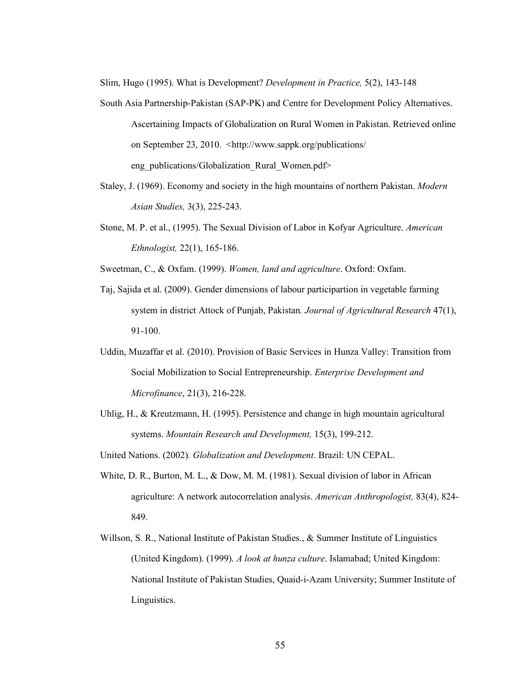Slim, Hugo (1995). What is Development? *Development in Practice,* 5(2), 143-148

- South Asia Partnership-Pakistan (SAP-PK) and Centre for Development Policy Alternatives. Ascertaining Impacts of Globalization on Rural Women in Pakistan. Retrieved online on September 23, 2010. <<http://www.sappk.org/publications>/ eng\_publications/Globalization\_Rural\_Women.pdf>
- Staley, J. (1969). Economy and society in the high mountains of northern Pakistan. *Modern Asian Studies,* 3(3), 225-243.
- Stone, M. P. et al., (1995). The Sexual Division of Labor in Kofyar Agriculture. *American Ethnologist,* 22(1), 165-186.

Sweetman, C., & Oxfam. (1999). *Women, land and agriculture*. Oxford: Oxfam.

- Taj, Sajida et al. (2009). Gender dimensions of labour participartion in vegetable farming system in district Attock of Punjab, Pakistan*. Journal of Agricultural Research* 47(1), 91-100. 91-100. Uddin, Muzaffar et al. (2010). Provision of Basic Services in Hunza Valley: Transition from
- Social Mobilization to Social Entrepreneurship. *Enterprise Development and Microfinance*, 21(3), 216-228.
- Uhlig, H., & Kreutzmann, H. (1995). Persistence and change in high mountain agricultural systems. *Mountain Research and Development,* 15(3), 199-212.
- United Nations. (2002). *Globalization and Development*. Brazil: UN CEPAL.
- White, D. R., Burton, M. L., & Dow, M. M. (1981). Sexual division of labor in African agriculture: A network autocorrelation analysis. *American Anthropologist,* 83(4), 824- 849. 849.<br>Willson, S. R., National Institute of Pakistan Studies., & Summer Institute of Linguistics
- (United Kingdom). (1999). *A look at hunza culture*. Islamabad; United Kingdom: National Institute of Pakistan Studies, Quaid-i-Azam University; Summer Institute of Linguistics. Linguistics.<br>
55